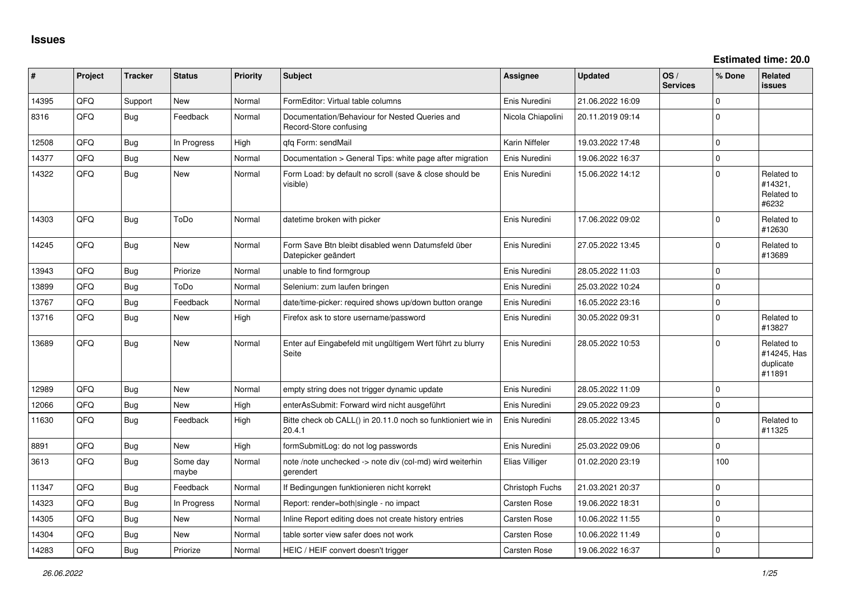| ∥ #   | Project    | <b>Tracker</b> | <b>Status</b>     | <b>Priority</b> | <b>Subject</b>                                                            | Assignee            | <b>Updated</b>   | OS/<br><b>Services</b> | % Done      | <b>Related</b><br><b>issues</b>                  |
|-------|------------|----------------|-------------------|-----------------|---------------------------------------------------------------------------|---------------------|------------------|------------------------|-------------|--------------------------------------------------|
| 14395 | QFQ        | Support        | New               | Normal          | FormEditor: Virtual table columns                                         | Enis Nuredini       | 21.06.2022 16:09 |                        | $\mathbf 0$ |                                                  |
| 8316  | QFQ        | Bug            | Feedback          | Normal          | Documentation/Behaviour for Nested Queries and<br>Record-Store confusing  | Nicola Chiapolini   | 20.11.2019 09:14 |                        | $\mathbf 0$ |                                                  |
| 12508 | QFQ        | Bug            | In Progress       | High            | qfq Form: sendMail                                                        | Karin Niffeler      | 19.03.2022 17:48 |                        | $\mathbf 0$ |                                                  |
| 14377 | QFQ        | Bug            | New               | Normal          | Documentation > General Tips: white page after migration                  | Enis Nuredini       | 19.06.2022 16:37 |                        | $\pmb{0}$   |                                                  |
| 14322 | QFQ        | Bug            | <b>New</b>        | Normal          | Form Load: by default no scroll (save & close should be<br>visible)       | Enis Nuredini       | 15.06.2022 14:12 |                        | $\mathbf 0$ | Related to<br>#14321,<br>Related to<br>#6232     |
| 14303 | QFQ        | Bug            | ToDo              | Normal          | datetime broken with picker                                               | Enis Nuredini       | 17.06.2022 09:02 |                        | $\mathbf 0$ | Related to<br>#12630                             |
| 14245 | QFQ        | Bug            | <b>New</b>        | Normal          | Form Save Btn bleibt disabled wenn Datumsfeld über<br>Datepicker geändert | Enis Nuredini       | 27.05.2022 13:45 |                        | $\mathbf 0$ | Related to<br>#13689                             |
| 13943 | QFQ        | <b>Bug</b>     | Priorize          | Normal          | unable to find formgroup                                                  | Enis Nuredini       | 28.05.2022 11:03 |                        | $\mathbf 0$ |                                                  |
| 13899 | <b>OFO</b> | Bug            | ToDo              | Normal          | Selenium: zum laufen bringen                                              | Enis Nuredini       | 25.03.2022 10:24 |                        | $\mathbf 0$ |                                                  |
| 13767 | QFQ        | Bug            | Feedback          | Normal          | date/time-picker: required shows up/down button orange                    | Enis Nuredini       | 16.05.2022 23:16 |                        | $\pmb{0}$   |                                                  |
| 13716 | QFQ        | Bug            | New               | High            | Firefox ask to store username/password                                    | Enis Nuredini       | 30.05.2022 09:31 |                        | $\mathbf 0$ | Related to<br>#13827                             |
| 13689 | QFQ        | Bug            | <b>New</b>        | Normal          | Enter auf Eingabefeld mit ungültigem Wert führt zu blurry<br>Seite        | Enis Nuredini       | 28.05.2022 10:53 |                        | $\mathbf 0$ | Related to<br>#14245, Has<br>duplicate<br>#11891 |
| 12989 | QFQ        | Bug            | <b>New</b>        | Normal          | empty string does not trigger dynamic update                              | Enis Nuredini       | 28.05.2022 11:09 |                        | $\mathbf 0$ |                                                  |
| 12066 | QFQ        | Bug            | New               | High            | enterAsSubmit: Forward wird nicht ausgeführt                              | Enis Nuredini       | 29.05.2022 09:23 |                        | $\pmb{0}$   |                                                  |
| 11630 | QFQ        | Bug            | Feedback          | High            | Bitte check ob CALL() in 20.11.0 noch so funktioniert wie in<br>20.4.1    | Enis Nuredini       | 28.05.2022 13:45 |                        | $\Omega$    | Related to<br>#11325                             |
| 8891  | QFQ        | Bug            | <b>New</b>        | High            | formSubmitLog: do not log passwords                                       | Enis Nuredini       | 25.03.2022 09:06 |                        | $\mathbf 0$ |                                                  |
| 3613  | QFQ        | Bug            | Some day<br>maybe | Normal          | note /note unchecked -> note div (col-md) wird weiterhin<br>gerendert     | Elias Villiger      | 01.02.2020 23:19 |                        | 100         |                                                  |
| 11347 | QFQ        | Bug            | Feedback          | Normal          | If Bedingungen funktionieren nicht korrekt                                | Christoph Fuchs     | 21.03.2021 20:37 |                        | $\pmb{0}$   |                                                  |
| 14323 | QFQ        | <b>Bug</b>     | In Progress       | Normal          | Report: render=both single - no impact                                    | <b>Carsten Rose</b> | 19.06.2022 18:31 |                        | $\pmb{0}$   |                                                  |
| 14305 | QFQ        | Bug            | New               | Normal          | Inline Report editing does not create history entries                     | <b>Carsten Rose</b> | 10.06.2022 11:55 |                        | $\mathbf 0$ |                                                  |
| 14304 | QFQ        | <b>Bug</b>     | New               | Normal          | table sorter view safer does not work                                     | <b>Carsten Rose</b> | 10.06.2022 11:49 |                        | $\pmb{0}$   |                                                  |
| 14283 | QFQ        | Bug            | Priorize          | Normal          | HEIC / HEIF convert doesn't trigger                                       | Carsten Rose        | 19.06.2022 16:37 |                        | $\mathbf 0$ |                                                  |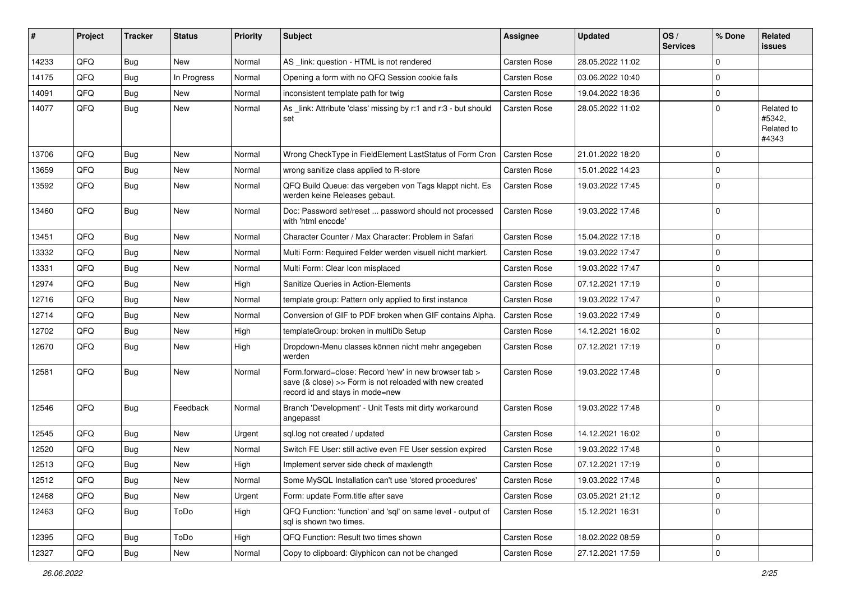| ∥ #   | Project | <b>Tracker</b> | <b>Status</b> | <b>Priority</b> | <b>Subject</b>                                                                                                                                      | <b>Assignee</b> | <b>Updated</b>   | OS/<br><b>Services</b> | % Done      | Related<br><b>issues</b>                    |
|-------|---------|----------------|---------------|-----------------|-----------------------------------------------------------------------------------------------------------------------------------------------------|-----------------|------------------|------------------------|-------------|---------------------------------------------|
| 14233 | QFQ     | Bug            | New           | Normal          | AS _link: question - HTML is not rendered                                                                                                           | Carsten Rose    | 28.05.2022 11:02 |                        | $\mathbf 0$ |                                             |
| 14175 | QFQ     | Bug            | In Progress   | Normal          | Opening a form with no QFQ Session cookie fails                                                                                                     | Carsten Rose    | 03.06.2022 10:40 |                        | $\mathbf 0$ |                                             |
| 14091 | QFQ     | Bug            | New           | Normal          | inconsistent template path for twig                                                                                                                 | Carsten Rose    | 19.04.2022 18:36 |                        | $\mathbf 0$ |                                             |
| 14077 | QFQ     | <b>Bug</b>     | New           | Normal          | As _link: Attribute 'class' missing by r:1 and r:3 - but should<br>set                                                                              | Carsten Rose    | 28.05.2022 11:02 |                        | $\mathbf 0$ | Related to<br>#5342,<br>Related to<br>#4343 |
| 13706 | QFQ     | Bug            | New           | Normal          | Wrong CheckType in FieldElement LastStatus of Form Cron                                                                                             | Carsten Rose    | 21.01.2022 18:20 |                        | $\mathbf 0$ |                                             |
| 13659 | QFQ     | <b>Bug</b>     | <b>New</b>    | Normal          | wrong sanitize class applied to R-store                                                                                                             | Carsten Rose    | 15.01.2022 14:23 |                        | $\mathbf 0$ |                                             |
| 13592 | QFQ     | Bug            | New           | Normal          | QFQ Build Queue: das vergeben von Tags klappt nicht. Es<br>werden keine Releases gebaut.                                                            | Carsten Rose    | 19.03.2022 17:45 |                        | $\mathbf 0$ |                                             |
| 13460 | QFQ     | Bug            | New           | Normal          | Doc: Password set/reset  password should not processed<br>with 'html encode'                                                                        | Carsten Rose    | 19.03.2022 17:46 |                        | $\mathbf 0$ |                                             |
| 13451 | QFQ     | Bug            | New           | Normal          | Character Counter / Max Character: Problem in Safari                                                                                                | Carsten Rose    | 15.04.2022 17:18 |                        | $\mathbf 0$ |                                             |
| 13332 | QFQ     | <b>Bug</b>     | <b>New</b>    | Normal          | Multi Form: Required Felder werden visuell nicht markiert.                                                                                          | Carsten Rose    | 19.03.2022 17:47 |                        | $\mathbf 0$ |                                             |
| 13331 | QFQ     | Bug            | New           | Normal          | Multi Form: Clear Icon misplaced                                                                                                                    | Carsten Rose    | 19.03.2022 17:47 |                        | $\mathbf 0$ |                                             |
| 12974 | QFQ     | <b>Bug</b>     | <b>New</b>    | High            | Sanitize Queries in Action-Elements                                                                                                                 | Carsten Rose    | 07.12.2021 17:19 |                        | $\mathbf 0$ |                                             |
| 12716 | QFQ     | Bug            | New           | Normal          | template group: Pattern only applied to first instance                                                                                              | Carsten Rose    | 19.03.2022 17:47 |                        | $\mathbf 0$ |                                             |
| 12714 | QFQ     | Bug            | New           | Normal          | Conversion of GIF to PDF broken when GIF contains Alpha.                                                                                            | Carsten Rose    | 19.03.2022 17:49 |                        | $\mathbf 0$ |                                             |
| 12702 | QFQ     | Bug            | New           | High            | templateGroup: broken in multiDb Setup                                                                                                              | Carsten Rose    | 14.12.2021 16:02 |                        | $\mathbf 0$ |                                             |
| 12670 | QFQ     | Bug            | New           | High            | Dropdown-Menu classes können nicht mehr angegeben<br>werden                                                                                         | Carsten Rose    | 07.12.2021 17:19 |                        | $\mathbf 0$ |                                             |
| 12581 | QFQ     | <b>Bug</b>     | New           | Normal          | Form.forward=close: Record 'new' in new browser tab ><br>save (& close) >> Form is not reloaded with new created<br>record id and stays in mode=new | Carsten Rose    | 19.03.2022 17:48 |                        | $\mathbf 0$ |                                             |
| 12546 | QFQ     | Bug            | Feedback      | Normal          | Branch 'Development' - Unit Tests mit dirty workaround<br>angepasst                                                                                 | Carsten Rose    | 19.03.2022 17:48 |                        | $\mathbf 0$ |                                             |
| 12545 | QFQ     | Bug            | New           | Urgent          | sql.log not created / updated                                                                                                                       | Carsten Rose    | 14.12.2021 16:02 |                        | $\mathbf 0$ |                                             |
| 12520 | QFQ     | <b>Bug</b>     | New           | Normal          | Switch FE User: still active even FE User session expired                                                                                           | Carsten Rose    | 19.03.2022 17:48 |                        | $\mathbf 0$ |                                             |
| 12513 | QFQ     | Bug            | New           | High            | Implement server side check of maxlength                                                                                                            | Carsten Rose    | 07.12.2021 17:19 |                        | $\mathbf 0$ |                                             |
| 12512 | QFQ     | Bug            | New           | Normal          | Some MySQL Installation can't use 'stored procedures'                                                                                               | Carsten Rose    | 19.03.2022 17:48 |                        | 0           |                                             |
| 12468 | QFQ     | <b>Bug</b>     | New           | Urgent          | Form: update Form.title after save                                                                                                                  | Carsten Rose    | 03.05.2021 21:12 |                        | $\mathbf 0$ |                                             |
| 12463 | QFQ     | <b>Bug</b>     | ToDo          | High            | QFQ Function: 'function' and 'sql' on same level - output of<br>sql is shown two times.                                                             | Carsten Rose    | 15.12.2021 16:31 |                        | $\mathbf 0$ |                                             |
| 12395 | QFQ     | <b>Bug</b>     | ToDo          | High            | QFQ Function: Result two times shown                                                                                                                | Carsten Rose    | 18.02.2022 08:59 |                        | $\mathbf 0$ |                                             |
| 12327 | QFQ     | Bug            | New           | Normal          | Copy to clipboard: Glyphicon can not be changed                                                                                                     | Carsten Rose    | 27.12.2021 17:59 |                        | $\mathbf 0$ |                                             |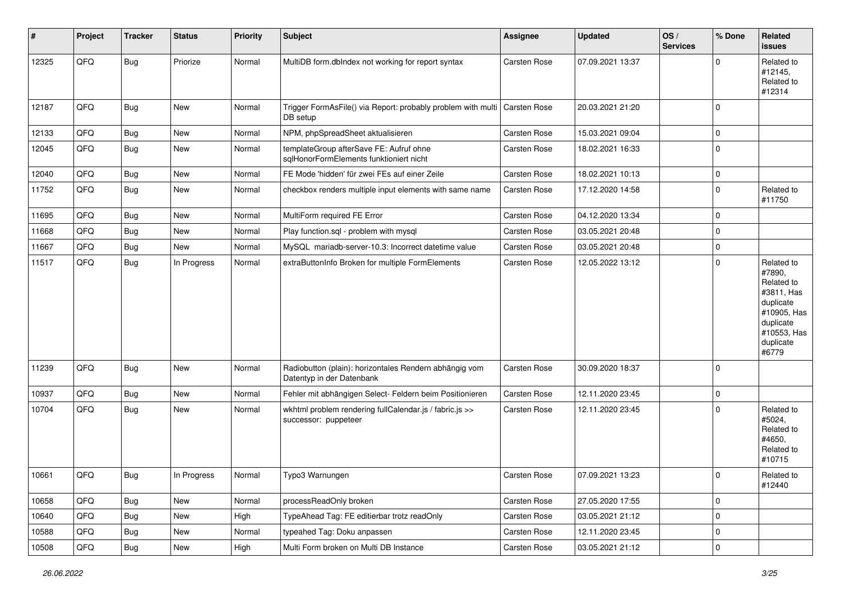| #     | Project | <b>Tracker</b> | <b>Status</b> | <b>Priority</b> | <b>Subject</b>                                                                      | <b>Assignee</b> | <b>Updated</b>   | OS/<br><b>Services</b> | % Done              | Related<br><b>issues</b>                                                                                                       |
|-------|---------|----------------|---------------|-----------------|-------------------------------------------------------------------------------------|-----------------|------------------|------------------------|---------------------|--------------------------------------------------------------------------------------------------------------------------------|
| 12325 | QFQ     | Bug            | Priorize      | Normal          | MultiDB form.dbIndex not working for report syntax                                  | Carsten Rose    | 07.09.2021 13:37 |                        | $\mathbf 0$         | Related to<br>#12145,<br>Related to<br>#12314                                                                                  |
| 12187 | QFQ     | Bug            | New           | Normal          | Trigger FormAsFile() via Report: probably problem with multi<br>DB setup            | Carsten Rose    | 20.03.2021 21:20 |                        | $\mathbf 0$         |                                                                                                                                |
| 12133 | QFQ     | <b>Bug</b>     | New           | Normal          | NPM, phpSpreadSheet aktualisieren                                                   | Carsten Rose    | 15.03.2021 09:04 |                        | $\mathbf 0$         |                                                                                                                                |
| 12045 | QFQ     | <b>Bug</b>     | New           | Normal          | templateGroup afterSave FE: Aufruf ohne<br>sqlHonorFormElements funktioniert nicht  | Carsten Rose    | 18.02.2021 16:33 |                        | 0                   |                                                                                                                                |
| 12040 | QFQ     | Bug            | New           | Normal          | FE Mode 'hidden' für zwei FEs auf einer Zeile                                       | Carsten Rose    | 18.02.2021 10:13 |                        | $\mathbf 0$         |                                                                                                                                |
| 11752 | QFQ     | Bug            | New           | Normal          | checkbox renders multiple input elements with same name                             | Carsten Rose    | 17.12.2020 14:58 |                        | $\mathbf 0$         | Related to<br>#11750                                                                                                           |
| 11695 | QFQ     | <b>Bug</b>     | New           | Normal          | MultiForm required FE Error                                                         | Carsten Rose    | 04.12.2020 13:34 |                        | $\mathbf 0$         |                                                                                                                                |
| 11668 | QFQ     | <b>Bug</b>     | New           | Normal          | Play function.sql - problem with mysql                                              | Carsten Rose    | 03.05.2021 20:48 |                        | $\mathbf 0$         |                                                                                                                                |
| 11667 | QFQ     | <b>Bug</b>     | New           | Normal          | MySQL mariadb-server-10.3: Incorrect datetime value                                 | Carsten Rose    | 03.05.2021 20:48 |                        | $\mathbf 0$         |                                                                                                                                |
| 11517 | QFQ     | <b>Bug</b>     | In Progress   | Normal          | extraButtonInfo Broken for multiple FormElements                                    | Carsten Rose    | 12.05.2022 13:12 |                        | $\mathbf 0$         | Related to<br>#7890,<br>Related to<br>#3811, Has<br>duplicate<br>#10905, Has<br>duplicate<br>#10553, Has<br>duplicate<br>#6779 |
| 11239 | QFQ     | <b>Bug</b>     | New           | Normal          | Radiobutton (plain): horizontales Rendern abhängig vom<br>Datentyp in der Datenbank | Carsten Rose    | 30.09.2020 18:37 |                        | $\mathbf 0$         |                                                                                                                                |
| 10937 | QFQ     | Bug            | New           | Normal          | Fehler mit abhängigen Select- Feldern beim Positionieren                            | Carsten Rose    | 12.11.2020 23:45 |                        | $\mathbf 0$         |                                                                                                                                |
| 10704 | QFQ     | <b>Bug</b>     | New           | Normal          | wkhtml problem rendering fullCalendar.js / fabric.js >><br>successor: puppeteer     | Carsten Rose    | 12.11.2020 23:45 |                        | $\mathbf 0$         | Related to<br>#5024,<br>Related to<br>#4650.<br>Related to<br>#10715                                                           |
| 10661 | QFQ     | Bug            | In Progress   | Normal          | Typo3 Warnungen                                                                     | Carsten Rose    | 07.09.2021 13:23 |                        | $\pmb{0}$           | Related to<br>#12440                                                                                                           |
| 10658 | QFQ     | <b>Bug</b>     | New           | Normal          | processReadOnly broken                                                              | Carsten Rose    | 27.05.2020 17:55 |                        | $\mathbf 0$         |                                                                                                                                |
| 10640 | QFQ     | <b>Bug</b>     | New           | High            | TypeAhead Tag: FE editierbar trotz readOnly                                         | Carsten Rose    | 03.05.2021 21:12 |                        | $\mathsf{O}\xspace$ |                                                                                                                                |
| 10588 | QFQ     | <b>Bug</b>     | New           | Normal          | typeahed Tag: Doku anpassen                                                         | Carsten Rose    | 12.11.2020 23:45 |                        | $\mathbf 0$         |                                                                                                                                |
| 10508 | QFQ     | Bug            | New           | High            | Multi Form broken on Multi DB Instance                                              | Carsten Rose    | 03.05.2021 21:12 |                        | $\mathsf{O}\xspace$ |                                                                                                                                |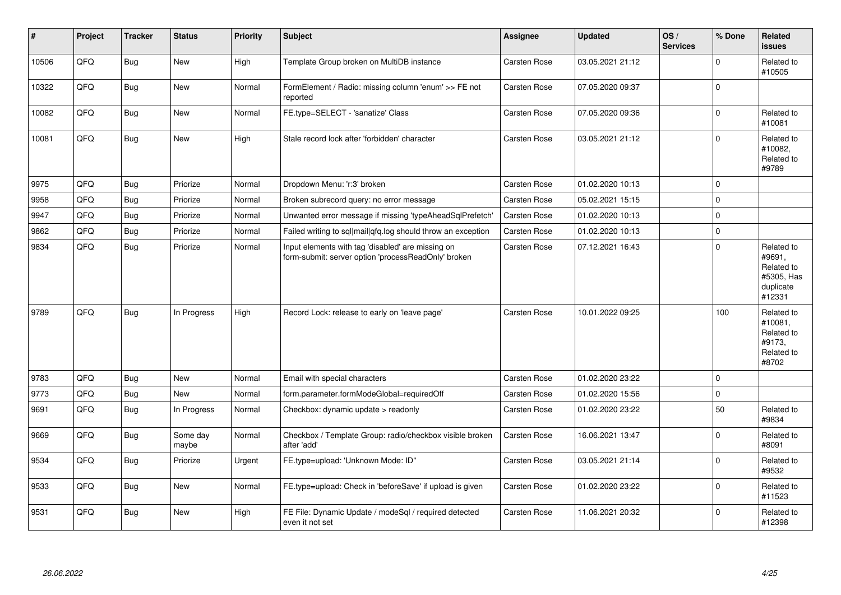| #     | Project | <b>Tracker</b> | <b>Status</b>     | <b>Priority</b> | <b>Subject</b>                                                                                           | Assignee            | <b>Updated</b>   | OS/<br><b>Services</b> | % Done      | Related<br><b>issues</b>                                                |
|-------|---------|----------------|-------------------|-----------------|----------------------------------------------------------------------------------------------------------|---------------------|------------------|------------------------|-------------|-------------------------------------------------------------------------|
| 10506 | QFQ     | <b>Bug</b>     | <b>New</b>        | High            | Template Group broken on MultiDB instance                                                                | Carsten Rose        | 03.05.2021 21:12 |                        | $\mathbf 0$ | Related to<br>#10505                                                    |
| 10322 | QFQ     | Bug            | New               | Normal          | FormElement / Radio: missing column 'enum' >> FE not<br>reported                                         | Carsten Rose        | 07.05.2020 09:37 |                        | $\mathbf 0$ |                                                                         |
| 10082 | QFQ     | <b>Bug</b>     | <b>New</b>        | Normal          | FE.type=SELECT - 'sanatize' Class                                                                        | Carsten Rose        | 07.05.2020 09:36 |                        | $\mathbf 0$ | Related to<br>#10081                                                    |
| 10081 | QFQ     | <b>Bug</b>     | New               | High            | Stale record lock after 'forbidden' character                                                            | Carsten Rose        | 03.05.2021 21:12 |                        | $\pmb{0}$   | Related to<br>#10082,<br>Related to<br>#9789                            |
| 9975  | QFQ     | <b>Bug</b>     | Priorize          | Normal          | Dropdown Menu: 'r:3' broken                                                                              | Carsten Rose        | 01.02.2020 10:13 |                        | $\mathbf 0$ |                                                                         |
| 9958  | QFQ     | Bug            | Priorize          | Normal          | Broken subrecord query: no error message                                                                 | <b>Carsten Rose</b> | 05.02.2021 15:15 |                        | $\Omega$    |                                                                         |
| 9947  | QFQ     | <b>Bug</b>     | Priorize          | Normal          | Unwanted error message if missing 'typeAheadSqlPrefetch'                                                 | Carsten Rose        | 01.02.2020 10:13 |                        | $\pmb{0}$   |                                                                         |
| 9862  | QFQ     | <b>Bug</b>     | Priorize          | Normal          | Failed writing to sql mail qfq.log should throw an exception                                             | Carsten Rose        | 01.02.2020 10:13 |                        | $\mathbf 0$ |                                                                         |
| 9834  | QFQ     | <b>Bug</b>     | Priorize          | Normal          | Input elements with tag 'disabled' are missing on<br>form-submit: server option 'processReadOnly' broken | Carsten Rose        | 07.12.2021 16:43 |                        | $\mathbf 0$ | Related to<br>#9691,<br>Related to<br>#5305, Has<br>duplicate<br>#12331 |
| 9789  | QFQ     | <b>Bug</b>     | In Progress       | High            | Record Lock: release to early on 'leave page'                                                            | <b>Carsten Rose</b> | 10.01.2022 09:25 |                        | 100         | Related to<br>#10081.<br>Related to<br>#9173.<br>Related to<br>#8702    |
| 9783  | QFQ     | <b>Bug</b>     | <b>New</b>        | Normal          | Email with special characters                                                                            | Carsten Rose        | 01.02.2020 23:22 |                        | $\mathbf 0$ |                                                                         |
| 9773  | QFQ     | <b>Bug</b>     | New               | Normal          | form.parameter.formModeGlobal=requiredOff                                                                | Carsten Rose        | 01.02.2020 15:56 |                        | $\pmb{0}$   |                                                                         |
| 9691  | QFQ     | <b>Bug</b>     | In Progress       | Normal          | Checkbox: dynamic update > readonly                                                                      | Carsten Rose        | 01.02.2020 23:22 |                        | 50          | Related to<br>#9834                                                     |
| 9669  | QFQ     | <b>Bug</b>     | Some day<br>maybe | Normal          | Checkbox / Template Group: radio/checkbox visible broken<br>after 'add'                                  | Carsten Rose        | 16.06.2021 13:47 |                        | $\mathbf 0$ | Related to<br>#8091                                                     |
| 9534  | QFQ     | <b>Bug</b>     | Priorize          | Urgent          | FE.type=upload: 'Unknown Mode: ID"                                                                       | Carsten Rose        | 03.05.2021 21:14 |                        | $\mathbf 0$ | Related to<br>#9532                                                     |
| 9533  | QFQ     | Bug            | New               | Normal          | FE.type=upload: Check in 'beforeSave' if upload is given                                                 | Carsten Rose        | 01.02.2020 23:22 |                        | $\mathbf 0$ | Related to<br>#11523                                                    |
| 9531  | QFQ     | <b>Bug</b>     | New               | High            | FE File: Dynamic Update / modeSql / required detected<br>even it not set                                 | <b>Carsten Rose</b> | 11.06.2021 20:32 |                        | $\mathbf 0$ | Related to<br>#12398                                                    |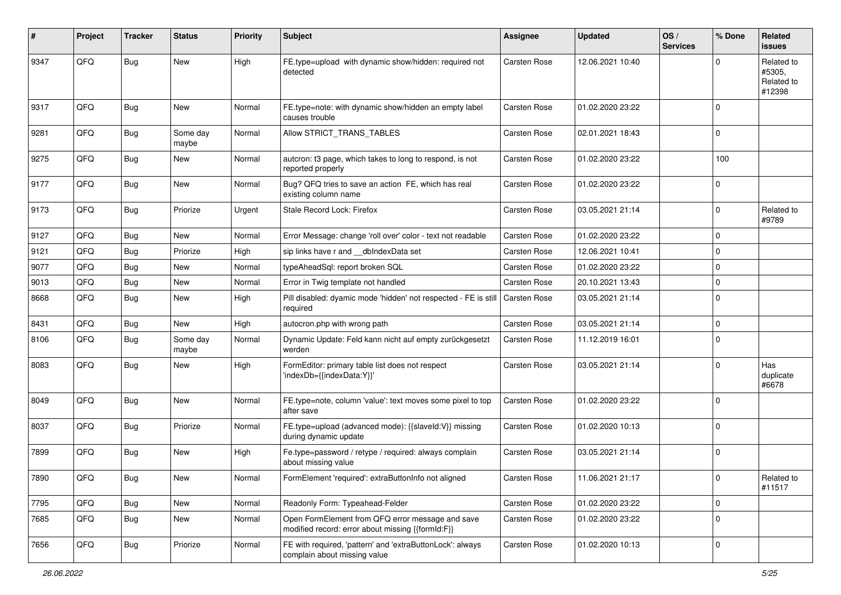| #    | Project | <b>Tracker</b> | <b>Status</b>     | <b>Priority</b> | Subject                                                                                               | <b>Assignee</b>     | <b>Updated</b>   | OS/<br><b>Services</b> | % Done       | Related<br><b>issues</b>                     |
|------|---------|----------------|-------------------|-----------------|-------------------------------------------------------------------------------------------------------|---------------------|------------------|------------------------|--------------|----------------------------------------------|
| 9347 | QFQ     | Bug            | <b>New</b>        | High            | FE.type=upload with dynamic show/hidden: required not<br>detected                                     | <b>Carsten Rose</b> | 12.06.2021 10:40 |                        | $\Omega$     | Related to<br>#5305,<br>Related to<br>#12398 |
| 9317 | QFQ     | <b>Bug</b>     | New               | Normal          | FE.type=note: with dynamic show/hidden an empty label<br>causes trouble                               | Carsten Rose        | 01.02.2020 23:22 |                        | $\mathbf 0$  |                                              |
| 9281 | QFQ     | <b>Bug</b>     | Some day<br>maybe | Normal          | Allow STRICT_TRANS_TABLES                                                                             | <b>Carsten Rose</b> | 02.01.2021 18:43 |                        | $\mathsf 0$  |                                              |
| 9275 | QFQ     | <b>Bug</b>     | New               | Normal          | autcron: t3 page, which takes to long to respond, is not<br>reported properly                         | Carsten Rose        | 01.02.2020 23:22 |                        | 100          |                                              |
| 9177 | QFQ     | Bug            | <b>New</b>        | Normal          | Bug? QFQ tries to save an action FE, which has real<br>existing column name                           | <b>Carsten Rose</b> | 01.02.2020 23:22 |                        | $\mathbf 0$  |                                              |
| 9173 | QFQ     | Bug            | Priorize          | Urgent          | Stale Record Lock: Firefox                                                                            | Carsten Rose        | 03.05.2021 21:14 |                        | $\mathbf 0$  | Related to<br>#9789                          |
| 9127 | QFQ     | <b>Bug</b>     | New               | Normal          | Error Message: change 'roll over' color - text not readable                                           | <b>Carsten Rose</b> | 01.02.2020 23:22 |                        | $\mathbf 0$  |                                              |
| 9121 | QFQ     | <b>Bug</b>     | Priorize          | High            | sip links have r and __dbIndexData set                                                                | <b>Carsten Rose</b> | 12.06.2021 10:41 |                        | $\mathbf 0$  |                                              |
| 9077 | QFQ     | <b>Bug</b>     | New               | Normal          | typeAheadSql: report broken SQL                                                                       | Carsten Rose        | 01.02.2020 23:22 |                        | $\mathbf 0$  |                                              |
| 9013 | QFQ     | <b>Bug</b>     | New               | Normal          | Error in Twig template not handled                                                                    | Carsten Rose        | 20.10.2021 13:43 |                        | $\mathbf 0$  |                                              |
| 8668 | QFQ     | Bug            | New               | High            | Pill disabled: dyamic mode 'hidden' not respected - FE is still<br>required                           | <b>Carsten Rose</b> | 03.05.2021 21:14 |                        | $\mathbf 0$  |                                              |
| 8431 | QFQ     | Bug            | New               | High            | autocron.php with wrong path                                                                          | <b>Carsten Rose</b> | 03.05.2021 21:14 |                        | $\mathbf 0$  |                                              |
| 8106 | QFQ     | Bug            | Some day<br>maybe | Normal          | Dynamic Update: Feld kann nicht auf empty zurückgesetzt<br>werden                                     | Carsten Rose        | 11.12.2019 16:01 |                        | $\mathbf 0$  |                                              |
| 8083 | QFQ     | <b>Bug</b>     | New               | High            | FormEditor: primary table list does not respect<br>'indexDb={{indexData:Y}}'                          | <b>Carsten Rose</b> | 03.05.2021 21:14 |                        | $\mathbf 0$  | Has<br>duplicate<br>#6678                    |
| 8049 | QFQ     | <b>Bug</b>     | New               | Normal          | FE.type=note, column 'value': text moves some pixel to top<br>after save                              | <b>Carsten Rose</b> | 01.02.2020 23:22 |                        | $\mathbf 0$  |                                              |
| 8037 | QFQ     | <b>Bug</b>     | Priorize          | Normal          | FE.type=upload (advanced mode): {{slaveld:V}} missing<br>during dynamic update                        | Carsten Rose        | 01.02.2020 10:13 |                        | $\mathbf 0$  |                                              |
| 7899 | QFQ     | Bug            | New               | High            | Fe.type=password / retype / required: always complain<br>about missing value                          | Carsten Rose        | 03.05.2021 21:14 |                        | $\mathbf 0$  |                                              |
| 7890 | QFQ     | <b>Bug</b>     | New               | Normal          | FormElement 'required': extraButtonInfo not aligned                                                   | Carsten Rose        | 11.06.2021 21:17 |                        | $\mathbf{0}$ | Related to<br>#11517                         |
| 7795 | QFQ     | Bug            | New               | Normal          | Readonly Form: Typeahead-Felder                                                                       | Carsten Rose        | 01.02.2020 23:22 |                        | $\mathbf 0$  |                                              |
| 7685 | QFQ     | Bug            | New               | Normal          | Open FormElement from QFQ error message and save<br>modified record: error about missing {{formId:F}} | Carsten Rose        | 01.02.2020 23:22 |                        | $\mathbf 0$  |                                              |
| 7656 | QFQ     | <b>Bug</b>     | Priorize          | Normal          | FE with required, 'pattern' and 'extraButtonLock': always<br>complain about missing value             | Carsten Rose        | 01.02.2020 10:13 |                        | $\mathsf 0$  |                                              |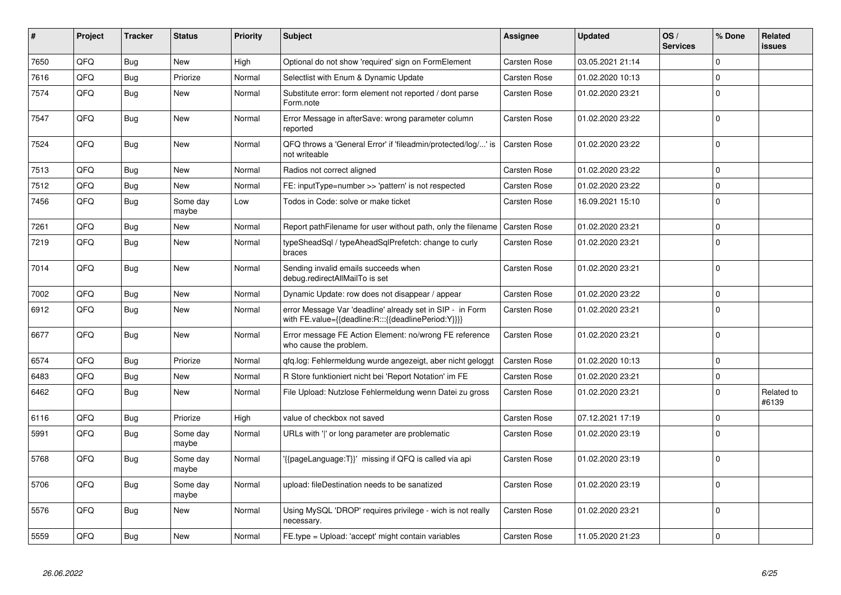| #    | Project | <b>Tracker</b> | <b>Status</b>     | <b>Priority</b> | <b>Subject</b>                                                                                                   | Assignee            | <b>Updated</b>   | OS/<br><b>Services</b> | % Done      | Related<br><b>issues</b> |
|------|---------|----------------|-------------------|-----------------|------------------------------------------------------------------------------------------------------------------|---------------------|------------------|------------------------|-------------|--------------------------|
| 7650 | QFQ     | <b>Bug</b>     | New               | High            | Optional do not show 'required' sign on FormElement                                                              | <b>Carsten Rose</b> | 03.05.2021 21:14 |                        | $\Omega$    |                          |
| 7616 | QFQ     | <b>Bug</b>     | Priorize          | Normal          | Selectlist with Enum & Dynamic Update                                                                            | Carsten Rose        | 01.02.2020 10:13 |                        | $\Omega$    |                          |
| 7574 | QFQ     | <b>Bug</b>     | New               | Normal          | Substitute error: form element not reported / dont parse<br>Form.note                                            | <b>Carsten Rose</b> | 01.02.2020 23:21 |                        | $\mathbf 0$ |                          |
| 7547 | QFQ     | Bug            | New               | Normal          | Error Message in afterSave: wrong parameter column<br>reported                                                   | <b>Carsten Rose</b> | 01.02.2020 23:22 |                        | $\Omega$    |                          |
| 7524 | QFQ     | <b>Bug</b>     | New               | Normal          | QFQ throws a 'General Error' if 'fileadmin/protected/log/' is<br>not writeable                                   | <b>Carsten Rose</b> | 01.02.2020 23:22 |                        | $\Omega$    |                          |
| 7513 | QFQ     | Bug            | New               | Normal          | Radios not correct aligned                                                                                       | <b>Carsten Rose</b> | 01.02.2020 23:22 |                        | $\mathbf 0$ |                          |
| 7512 | QFQ     | <b>Bug</b>     | <b>New</b>        | Normal          | FE: inputType=number >> 'pattern' is not respected                                                               | <b>Carsten Rose</b> | 01.02.2020 23:22 |                        | $\Omega$    |                          |
| 7456 | QFQ     | Bug            | Some dav<br>maybe | Low             | Todos in Code: solve or make ticket                                                                              | <b>Carsten Rose</b> | 16.09.2021 15:10 |                        | $\Omega$    |                          |
| 7261 | QFQ     | Bug            | New               | Normal          | Report pathFilename for user without path, only the filename                                                     | Carsten Rose        | 01.02.2020 23:21 |                        | $\Omega$    |                          |
| 7219 | QFQ     | <b>Bug</b>     | New               | Normal          | typeSheadSql / typeAheadSqlPrefetch: change to curly<br>braces                                                   | <b>Carsten Rose</b> | 01.02.2020 23:21 |                        | $\Omega$    |                          |
| 7014 | QFQ     | <b>Bug</b>     | <b>New</b>        | Normal          | Sending invalid emails succeeds when<br>debug.redirectAllMailTo is set                                           | Carsten Rose        | 01.02.2020 23:21 |                        | $\Omega$    |                          |
| 7002 | QFQ     | <b>Bug</b>     | New               | Normal          | Dynamic Update: row does not disappear / appear                                                                  | Carsten Rose        | 01.02.2020 23:22 |                        | $\Omega$    |                          |
| 6912 | QFQ     | <b>Bug</b>     | New               | Normal          | error Message Var 'deadline' already set in SIP - in Form<br>with FE.value={{deadline:R:::{{deadlinePeriod:Y}}}} | <b>Carsten Rose</b> | 01.02.2020 23:21 |                        | $\Omega$    |                          |
| 6677 | QFQ     | Bug            | <b>New</b>        | Normal          | Error message FE Action Element: no/wrong FE reference<br>who cause the problem.                                 | <b>Carsten Rose</b> | 01.02.2020 23:21 |                        | $\Omega$    |                          |
| 6574 | QFQ     | Bug            | Priorize          | Normal          | gfg.log: Fehlermeldung wurde angezeigt, aber nicht geloggt                                                       | <b>Carsten Rose</b> | 01.02.2020 10:13 |                        | $\Omega$    |                          |
| 6483 | QFQ     | <b>Bug</b>     | <b>New</b>        | Normal          | R Store funktioniert nicht bei 'Report Notation' im FE                                                           | Carsten Rose        | 01.02.2020 23:21 |                        | $\mathbf 0$ |                          |
| 6462 | QFQ     | Bug            | New               | Normal          | File Upload: Nutzlose Fehlermeldung wenn Datei zu gross                                                          | <b>Carsten Rose</b> | 01.02.2020 23:21 |                        | $\Omega$    | Related to<br>#6139      |
| 6116 | QFQ     | <b>Bug</b>     | Priorize          | High            | value of checkbox not saved                                                                                      | <b>Carsten Rose</b> | 07.12.2021 17:19 |                        | $\Omega$    |                          |
| 5991 | QFQ     | <b>Bug</b>     | Some day<br>maybe | Normal          | URLs with 'I' or long parameter are problematic                                                                  | <b>Carsten Rose</b> | 01.02.2020 23:19 |                        | $\Omega$    |                          |
| 5768 | QFQ     | <b>Bug</b>     | Some day<br>maybe | Normal          | '{{pageLanguage:T}}' missing if QFQ is called via api                                                            | Carsten Rose        | 01.02.2020 23:19 |                        | $\mathbf 0$ |                          |
| 5706 | QFQ     | Bug            | Some day<br>maybe | Normal          | upload: fileDestination needs to be sanatized                                                                    | Carsten Rose        | 01.02.2020 23:19 |                        | $\Omega$    |                          |
| 5576 | QFQ     | <b>Bug</b>     | New               | Normal          | Using MySQL 'DROP' requires privilege - wich is not really<br>necessary.                                         | Carsten Rose        | 01.02.2020 23:21 |                        | $\mathbf 0$ |                          |
| 5559 | QFQ     | Bug            | New               | Normal          | FE.type = Upload: 'accept' might contain variables                                                               | Carsten Rose        | 11.05.2020 21:23 |                        | $\mathbf 0$ |                          |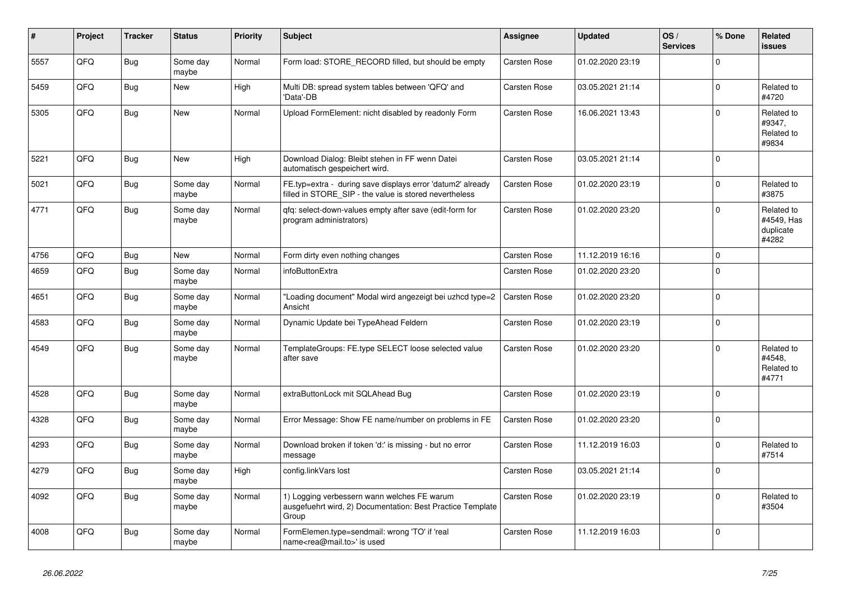| #    | Project | <b>Tracker</b> | <b>Status</b>     | <b>Priority</b> | <b>Subject</b>                                                                                                       | <b>Assignee</b>     | <b>Updated</b>   | OS/<br><b>Services</b> | % Done      | <b>Related</b><br><b>issues</b>                |
|------|---------|----------------|-------------------|-----------------|----------------------------------------------------------------------------------------------------------------------|---------------------|------------------|------------------------|-------------|------------------------------------------------|
| 5557 | QFQ     | Bug            | Some day<br>maybe | Normal          | Form load: STORE_RECORD filled, but should be empty                                                                  | Carsten Rose        | 01.02.2020 23:19 |                        | $\Omega$    |                                                |
| 5459 | QFQ     | Bug            | New               | High            | Multi DB: spread system tables between 'QFQ' and<br>Data'-DB                                                         | Carsten Rose        | 03.05.2021 21:14 |                        | $\mathbf 0$ | Related to<br>#4720                            |
| 5305 | QFQ     | <b>Bug</b>     | New               | Normal          | Upload FormElement: nicht disabled by readonly Form                                                                  | Carsten Rose        | 16.06.2021 13:43 |                        | $\mathbf 0$ | Related to<br>#9347,<br>Related to<br>#9834    |
| 5221 | QFQ     | Bug            | New               | High            | Download Dialog: Bleibt stehen in FF wenn Datei<br>automatisch gespeichert wird.                                     | Carsten Rose        | 03.05.2021 21:14 |                        | $\mathbf 0$ |                                                |
| 5021 | QFQ     | <b>Bug</b>     | Some day<br>maybe | Normal          | FE.typ=extra - during save displays error 'datum2' already<br>filled in STORE SIP - the value is stored nevertheless | Carsten Rose        | 01.02.2020 23:19 |                        | $\mathsf 0$ | Related to<br>#3875                            |
| 4771 | QFQ     | Bug            | Some day<br>maybe | Normal          | gfg: select-down-values empty after save (edit-form for<br>program administrators)                                   | <b>Carsten Rose</b> | 01.02.2020 23:20 |                        | $\Omega$    | Related to<br>#4549, Has<br>duplicate<br>#4282 |
| 4756 | QFQ     | <b>Bug</b>     | <b>New</b>        | Normal          | Form dirty even nothing changes                                                                                      | <b>Carsten Rose</b> | 11.12.2019 16:16 |                        | $\mathbf 0$ |                                                |
| 4659 | QFQ     | Bug            | Some day<br>maybe | Normal          | infoButtonExtra                                                                                                      | Carsten Rose        | 01.02.2020 23:20 |                        | $\mathbf 0$ |                                                |
| 4651 | QFQ     | Bug            | Some day<br>maybe | Normal          | 'Loading document" Modal wird angezeigt bei uzhcd type=2<br>Ansicht                                                  | Carsten Rose        | 01.02.2020 23:20 |                        | $\mathsf 0$ |                                                |
| 4583 | QFQ     | <b>Bug</b>     | Some day<br>maybe | Normal          | Dynamic Update bei TypeAhead Feldern                                                                                 | Carsten Rose        | 01.02.2020 23:19 |                        | $\mathbf 0$ |                                                |
| 4549 | QFQ     | Bug            | Some day<br>maybe | Normal          | TemplateGroups: FE.type SELECT loose selected value<br>after save                                                    | Carsten Rose        | 01.02.2020 23:20 |                        | $\mathbf 0$ | Related to<br>#4548.<br>Related to<br>#4771    |
| 4528 | QFQ     | <b>Bug</b>     | Some day<br>maybe | Normal          | extraButtonLock mit SQLAhead Bug                                                                                     | Carsten Rose        | 01.02.2020 23:19 |                        | $\mathbf 0$ |                                                |
| 4328 | QFQ     | <b>Bug</b>     | Some day<br>maybe | Normal          | Error Message: Show FE name/number on problems in FE                                                                 | Carsten Rose        | 01.02.2020 23:20 |                        | $\mathbf 0$ |                                                |
| 4293 | QFQ     | Bug            | Some day<br>maybe | Normal          | Download broken if token 'd:' is missing - but no error<br>message                                                   | Carsten Rose        | 11.12.2019 16:03 |                        | $\mathbf 0$ | Related to<br>#7514                            |
| 4279 | QFQ     | <b>Bug</b>     | Some day<br>maybe | High            | config.linkVars lost                                                                                                 | Carsten Rose        | 03.05.2021 21:14 |                        | $\mathbf 0$ |                                                |
| 4092 | QFQ     | <b>Bug</b>     | Some day<br>maybe | Normal          | 1) Logging verbessern wann welches FE warum<br>ausgefuehrt wird, 2) Documentation: Best Practice Template<br>Group   | Carsten Rose        | 01.02.2020 23:19 |                        | $\Omega$    | Related to<br>#3504                            |
| 4008 | QFQ     | Bug            | Some day<br>maybe | Normal          | FormElemen.type=sendmail: wrong 'TO' if 'real<br>name <rea@mail.to>' is used</rea@mail.to>                           | Carsten Rose        | 11.12.2019 16:03 |                        | $\mathbf 0$ |                                                |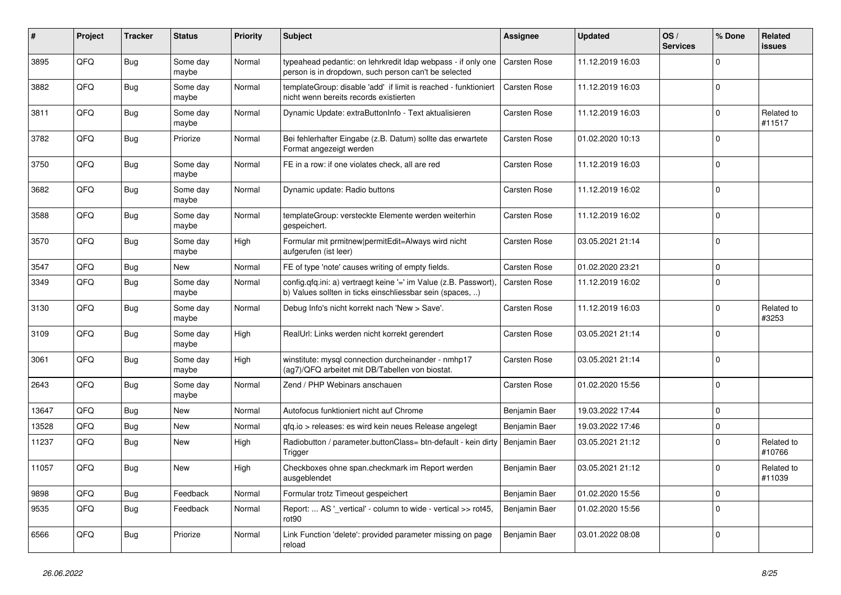| ∦     | Project | <b>Tracker</b> | <b>Status</b>     | <b>Priority</b> | <b>Subject</b>                                                                                                                | <b>Assignee</b> | <b>Updated</b>   | OS/<br><b>Services</b> | % Done      | <b>Related</b><br><b>issues</b> |
|-------|---------|----------------|-------------------|-----------------|-------------------------------------------------------------------------------------------------------------------------------|-----------------|------------------|------------------------|-------------|---------------------------------|
| 3895  | QFQ     | Bug            | Some day<br>maybe | Normal          | typeahead pedantic: on lehrkredit Idap webpass - if only one<br>person is in dropdown, such person can't be selected          | Carsten Rose    | 11.12.2019 16:03 |                        | $\mathbf 0$ |                                 |
| 3882  | QFQ     | Bug            | Some day<br>maybe | Normal          | templateGroup: disable 'add' if limit is reached - funktioniert<br>nicht wenn bereits records existierten                     | Carsten Rose    | 11.12.2019 16:03 |                        | $\mathbf 0$ |                                 |
| 3811  | QFQ     | <b>Bug</b>     | Some day<br>maybe | Normal          | Dynamic Update: extraButtonInfo - Text aktualisieren                                                                          | Carsten Rose    | 11.12.2019 16:03 |                        | $\mathbf 0$ | Related to<br>#11517            |
| 3782  | QFQ     | Bug            | Priorize          | Normal          | Bei fehlerhafter Eingabe (z.B. Datum) sollte das erwartete<br>Format angezeigt werden                                         | Carsten Rose    | 01.02.2020 10:13 |                        | $\mathbf 0$ |                                 |
| 3750  | QFQ     | Bug            | Some day<br>maybe | Normal          | FE in a row: if one violates check, all are red                                                                               | Carsten Rose    | 11.12.2019 16:03 |                        | $\mathbf 0$ |                                 |
| 3682  | QFQ     | Bug            | Some day<br>maybe | Normal          | Dynamic update: Radio buttons                                                                                                 | Carsten Rose    | 11.12.2019 16:02 |                        | $\mathbf 0$ |                                 |
| 3588  | QFQ     | <b>Bug</b>     | Some day<br>maybe | Normal          | templateGroup: versteckte Elemente werden weiterhin<br>gespeichert.                                                           | Carsten Rose    | 11.12.2019 16:02 |                        | $\mathbf 0$ |                                 |
| 3570  | QFQ     | <b>Bug</b>     | Some day<br>maybe | High            | Formular mit prmitnew permitEdit=Always wird nicht<br>aufgerufen (ist leer)                                                   | Carsten Rose    | 03.05.2021 21:14 |                        | $\mathbf 0$ |                                 |
| 3547  | QFQ     | Bug            | New               | Normal          | FE of type 'note' causes writing of empty fields.                                                                             | Carsten Rose    | 01.02.2020 23:21 |                        | $\mathbf 0$ |                                 |
| 3349  | QFQ     | Bug            | Some day<br>maybe | Normal          | config.qfq.ini: a) vertraegt keine '=' im Value (z.B. Passwort),<br>b) Values sollten in ticks einschliessbar sein (spaces, ) | Carsten Rose    | 11.12.2019 16:02 |                        | $\mathbf 0$ |                                 |
| 3130  | QFQ     | Bug            | Some day<br>maybe | Normal          | Debug Info's nicht korrekt nach 'New > Save'.                                                                                 | Carsten Rose    | 11.12.2019 16:03 |                        | $\mathbf 0$ | Related to<br>#3253             |
| 3109  | QFQ     | Bug            | Some day<br>maybe | High            | RealUrl: Links werden nicht korrekt gerendert                                                                                 | Carsten Rose    | 03.05.2021 21:14 |                        | $\mathbf 0$ |                                 |
| 3061  | QFQ     | Bug            | Some day<br>maybe | High            | winstitute: mysql connection durcheinander - nmhp17<br>(ag7)/QFQ arbeitet mit DB/Tabellen von biostat.                        | Carsten Rose    | 03.05.2021 21:14 |                        | $\mathbf 0$ |                                 |
| 2643  | QFQ     | <b>Bug</b>     | Some day<br>maybe | Normal          | Zend / PHP Webinars anschauen                                                                                                 | Carsten Rose    | 01.02.2020 15:56 |                        | $\mathbf 0$ |                                 |
| 13647 | QFQ     | <b>Bug</b>     | New               | Normal          | Autofocus funktioniert nicht auf Chrome                                                                                       | Benjamin Baer   | 19.03.2022 17:44 |                        | $\mathbf 0$ |                                 |
| 13528 | QFQ     | Bug            | New               | Normal          | qfq.io > releases: es wird kein neues Release angelegt                                                                        | Benjamin Baer   | 19.03.2022 17:46 |                        | $\mathbf 0$ |                                 |
| 11237 | QFQ     | Bug            | New               | High            | Radiobutton / parameter.buttonClass= btn-default - kein dirty<br>Trigger                                                      | Benjamin Baer   | 03.05.2021 21:12 |                        | $\mathbf 0$ | Related to<br>#10766            |
| 11057 | QFQ     | Bug            | <b>New</b>        | High            | Checkboxes ohne span.checkmark im Report werden<br>ausgeblendet                                                               | Benjamin Baer   | 03.05.2021 21:12 |                        | $\mathbf 0$ | Related to<br> #11039           |
| 9898  | QFQ     | Bug            | Feedback          | Normal          | Formular trotz Timeout gespeichert                                                                                            | Benjamin Baer   | 01.02.2020 15:56 |                        | $\mathbf 0$ |                                 |
| 9535  | QFQ     | <b>Bug</b>     | Feedback          | Normal          | Report:  AS '_vertical' - column to wide - vertical >> rot45,<br>rot90                                                        | Benjamin Baer   | 01.02.2020 15:56 |                        | $\mathbf 0$ |                                 |
| 6566  | QFQ     | <b>Bug</b>     | Priorize          | Normal          | Link Function 'delete': provided parameter missing on page<br>reload                                                          | Benjamin Baer   | 03.01.2022 08:08 |                        | $\mathsf 0$ |                                 |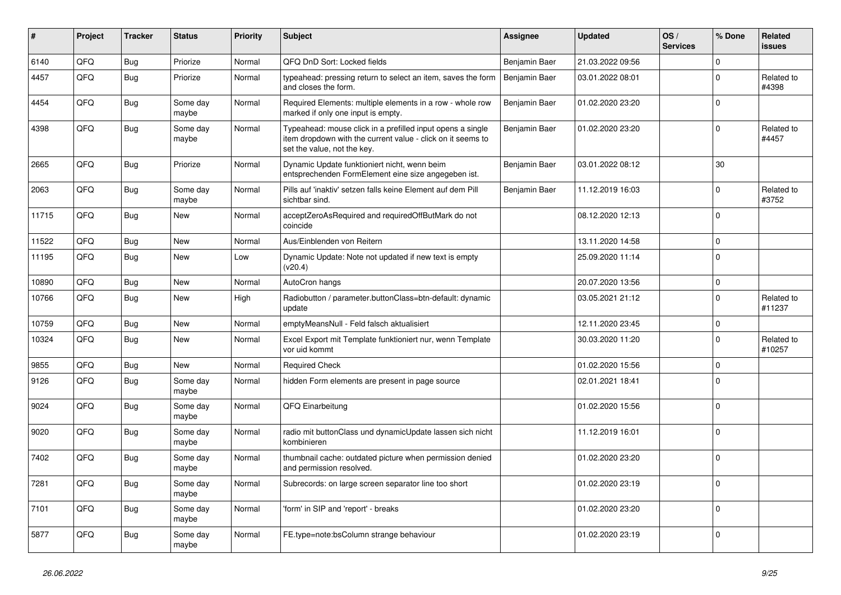| #     | Project | <b>Tracker</b> | <b>Status</b>     | <b>Priority</b> | <b>Subject</b>                                                                                                                                           | <b>Assignee</b> | <b>Updated</b>   | OS/<br><b>Services</b> | % Done      | Related<br><b>issues</b> |
|-------|---------|----------------|-------------------|-----------------|----------------------------------------------------------------------------------------------------------------------------------------------------------|-----------------|------------------|------------------------|-------------|--------------------------|
| 6140  | QFQ     | <b>Bug</b>     | Priorize          | Normal          | QFQ DnD Sort: Locked fields                                                                                                                              | Benjamin Baer   | 21.03.2022 09:56 |                        | $\mathbf 0$ |                          |
| 4457  | QFQ     | Bug            | Priorize          | Normal          | typeahead: pressing return to select an item, saves the form<br>and closes the form.                                                                     | Benjamin Baer   | 03.01.2022 08:01 |                        | $\mathbf 0$ | Related to<br>#4398      |
| 4454  | QFQ     | <b>Bug</b>     | Some day<br>maybe | Normal          | Required Elements: multiple elements in a row - whole row<br>marked if only one input is empty.                                                          | Benjamin Baer   | 01.02.2020 23:20 |                        | $\Omega$    |                          |
| 4398  | QFQ     | <b>Bug</b>     | Some day<br>maybe | Normal          | Typeahead: mouse click in a prefilled input opens a single<br>item dropdown with the current value - click on it seems to<br>set the value, not the key. | Benjamin Baer   | 01.02.2020 23:20 |                        | $\Omega$    | Related to<br>#4457      |
| 2665  | QFQ     | Bug            | Priorize          | Normal          | Dynamic Update funktioniert nicht, wenn beim<br>entsprechenden FormElement eine size angegeben ist.                                                      | Benjamin Baer   | 03.01.2022 08:12 |                        | 30          |                          |
| 2063  | QFQ     | <b>Bug</b>     | Some day<br>maybe | Normal          | Pills auf 'inaktiv' setzen falls keine Element auf dem Pill<br>sichtbar sind.                                                                            | Benjamin Baer   | 11.12.2019 16:03 |                        | $\mathbf 0$ | Related to<br>#3752      |
| 11715 | QFQ     | Bug            | <b>New</b>        | Normal          | acceptZeroAsRequired and requiredOffButMark do not<br>coincide                                                                                           |                 | 08.12.2020 12:13 |                        | $\Omega$    |                          |
| 11522 | QFQ     | <b>Bug</b>     | <b>New</b>        | Normal          | Aus/Einblenden von Reitern                                                                                                                               |                 | 13.11.2020 14:58 |                        | $\mathbf 0$ |                          |
| 11195 | QFQ     | <b>Bug</b>     | <b>New</b>        | Low             | Dynamic Update: Note not updated if new text is empty<br>(v20.4)                                                                                         |                 | 25.09.2020 11:14 |                        | $\Omega$    |                          |
| 10890 | QFQ     | Bug            | <b>New</b>        | Normal          | AutoCron hangs                                                                                                                                           |                 | 20.07.2020 13:56 |                        | $\mathbf 0$ |                          |
| 10766 | QFQ     | Bug            | <b>New</b>        | High            | Radiobutton / parameter.buttonClass=btn-default: dynamic<br>update                                                                                       |                 | 03.05.2021 21:12 |                        | $\Omega$    | Related to<br>#11237     |
| 10759 | QFQ     | <b>Bug</b>     | <b>New</b>        | Normal          | emptyMeansNull - Feld falsch aktualisiert                                                                                                                |                 | 12.11.2020 23:45 |                        | $\mathbf 0$ |                          |
| 10324 | QFQ     | Bug            | <b>New</b>        | Normal          | Excel Export mit Template funktioniert nur, wenn Template<br>vor uid kommt                                                                               |                 | 30.03.2020 11:20 |                        | $\mathbf 0$ | Related to<br>#10257     |
| 9855  | QFQ     | <b>Bug</b>     | New               | Normal          | <b>Required Check</b>                                                                                                                                    |                 | 01.02.2020 15:56 |                        | $\mathbf 0$ |                          |
| 9126  | QFQ     | <b>Bug</b>     | Some day<br>maybe | Normal          | hidden Form elements are present in page source                                                                                                          |                 | 02.01.2021 18:41 |                        | $\Omega$    |                          |
| 9024  | QFQ     | <b>Bug</b>     | Some day<br>maybe | Normal          | QFQ Einarbeitung                                                                                                                                         |                 | 01.02.2020 15:56 |                        | $\Omega$    |                          |
| 9020  | QFQ     | Bug            | Some day<br>maybe | Normal          | radio mit buttonClass und dynamicUpdate lassen sich nicht<br>kombinieren                                                                                 |                 | 11.12.2019 16:01 |                        | $\Omega$    |                          |
| 7402  | QFQ     | <b>Bug</b>     | Some day<br>maybe | Normal          | thumbnail cache: outdated picture when permission denied<br>and permission resolved.                                                                     |                 | 01.02.2020 23:20 |                        | $\mathbf 0$ |                          |
| 7281  | QFQ     | <b>Bug</b>     | Some day<br>maybe | Normal          | Subrecords: on large screen separator line too short                                                                                                     |                 | 01.02.2020 23:19 |                        | $\mathbf 0$ |                          |
| 7101  | QFQ     | Bug            | Some day<br>maybe | Normal          | 'form' in SIP and 'report' - breaks                                                                                                                      |                 | 01.02.2020 23:20 |                        | $\Omega$    |                          |
| 5877  | QFQ     | <b>Bug</b>     | Some day<br>maybe | Normal          | FE.type=note:bsColumn strange behaviour                                                                                                                  |                 | 01.02.2020 23:19 |                        | $\mathbf 0$ |                          |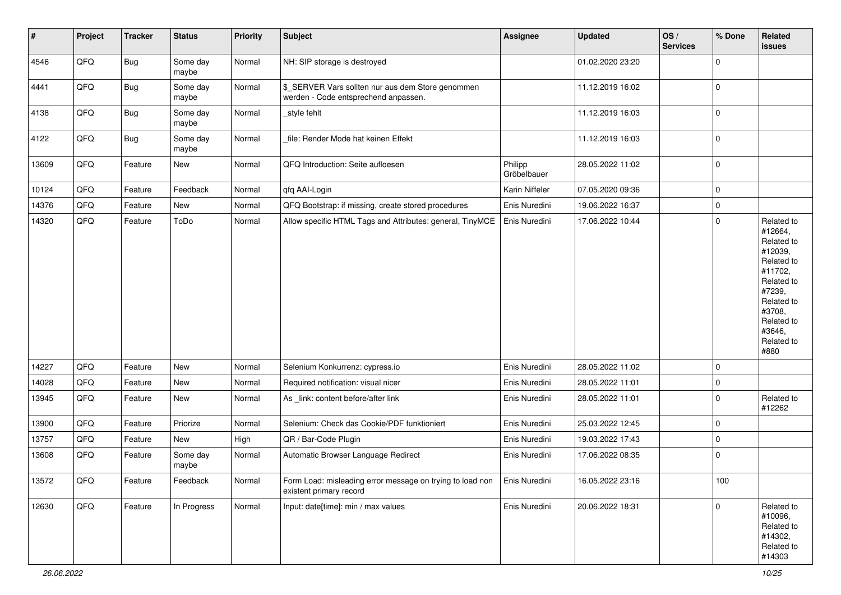| $\vert$ # | Project        | <b>Tracker</b> | <b>Status</b>     | <b>Priority</b> | <b>Subject</b>                                                                            | Assignee               | <b>Updated</b>   | OS/<br><b>Services</b> | % Done      | Related<br><b>issues</b>                                                                                                                                              |
|-----------|----------------|----------------|-------------------|-----------------|-------------------------------------------------------------------------------------------|------------------------|------------------|------------------------|-------------|-----------------------------------------------------------------------------------------------------------------------------------------------------------------------|
| 4546      | QFQ            | Bug            | Some day<br>maybe | Normal          | NH: SIP storage is destroyed                                                              |                        | 01.02.2020 23:20 |                        | $\mathbf 0$ |                                                                                                                                                                       |
| 4441      | QFQ            | <b>Bug</b>     | Some day<br>maybe | Normal          | \$_SERVER Vars sollten nur aus dem Store genommen<br>werden - Code entsprechend anpassen. |                        | 11.12.2019 16:02 |                        | $\pmb{0}$   |                                                                                                                                                                       |
| 4138      | QFQ            | Bug            | Some day<br>maybe | Normal          | _style fehlt                                                                              |                        | 11.12.2019 16:03 |                        | 0           |                                                                                                                                                                       |
| 4122      | QFQ            | Bug            | Some day<br>maybe | Normal          | file: Render Mode hat keinen Effekt                                                       |                        | 11.12.2019 16:03 |                        | $\pmb{0}$   |                                                                                                                                                                       |
| 13609     | QFQ            | Feature        | New               | Normal          | QFQ Introduction: Seite aufloesen                                                         | Philipp<br>Gröbelbauer | 28.05.2022 11:02 |                        | $\pmb{0}$   |                                                                                                                                                                       |
| 10124     | QFQ            | Feature        | Feedback          | Normal          | qfq AAI-Login                                                                             | Karin Niffeler         | 07.05.2020 09:36 |                        | $\pmb{0}$   |                                                                                                                                                                       |
| 14376     | QFQ            | Feature        | <b>New</b>        | Normal          | QFQ Bootstrap: if missing, create stored procedures                                       | Enis Nuredini          | 19.06.2022 16:37 |                        | $\pmb{0}$   |                                                                                                                                                                       |
| 14320     | QFQ            | Feature        | ToDo              | Normal          | Allow specific HTML Tags and Attributes: general, TinyMCE                                 | Enis Nuredini          | 17.06.2022 10:44 |                        | $\pmb{0}$   | Related to<br>#12664,<br>Related to<br>#12039,<br>Related to<br>#11702,<br>Related to<br>#7239,<br>Related to<br>#3708,<br>Related to<br>#3646,<br>Related to<br>#880 |
| 14227     | QFQ            | Feature        | New               | Normal          | Selenium Konkurrenz: cypress.io                                                           | Enis Nuredini          | 28.05.2022 11:02 |                        | $\pmb{0}$   |                                                                                                                                                                       |
| 14028     | QFQ            | Feature        | New               | Normal          | Required notification: visual nicer                                                       | Enis Nuredini          | 28.05.2022 11:01 |                        | $\pmb{0}$   |                                                                                                                                                                       |
| 13945     | QFQ            | Feature        | New               | Normal          | As _link: content before/after link                                                       | Enis Nuredini          | 28.05.2022 11:01 |                        | $\pmb{0}$   | Related to<br>#12262                                                                                                                                                  |
| 13900     | QFQ            | Feature        | Priorize          | Normal          | Selenium: Check das Cookie/PDF funktioniert                                               | Enis Nuredini          | 25.03.2022 12:45 |                        | $\pmb{0}$   |                                                                                                                                                                       |
| 13757     | QFQ            | Feature        | New               | High            | QR / Bar-Code Plugin                                                                      | Enis Nuredini          | 19.03.2022 17:43 |                        | 0           |                                                                                                                                                                       |
| 13608     | QFQ            | Feature        | Some day<br>maybe | Normal          | Automatic Browser Language Redirect                                                       | Enis Nuredini          | 17.06.2022 08:35 |                        | $\pmb{0}$   |                                                                                                                                                                       |
| 13572     | $\mathsf{QFQ}$ | Feature        | Feedback          | Normal          | Form Load: misleading error message on trying to load non<br>existent primary record      | Enis Nuredini          | 16.05.2022 23:16 |                        | 100         |                                                                                                                                                                       |
| 12630     | QFQ            | Feature        | In Progress       | Normal          | Input: date[time]: min / max values                                                       | Enis Nuredini          | 20.06.2022 18:31 |                        | $\pmb{0}$   | Related to<br>#10096,<br>Related to<br>#14302,<br>Related to<br>#14303                                                                                                |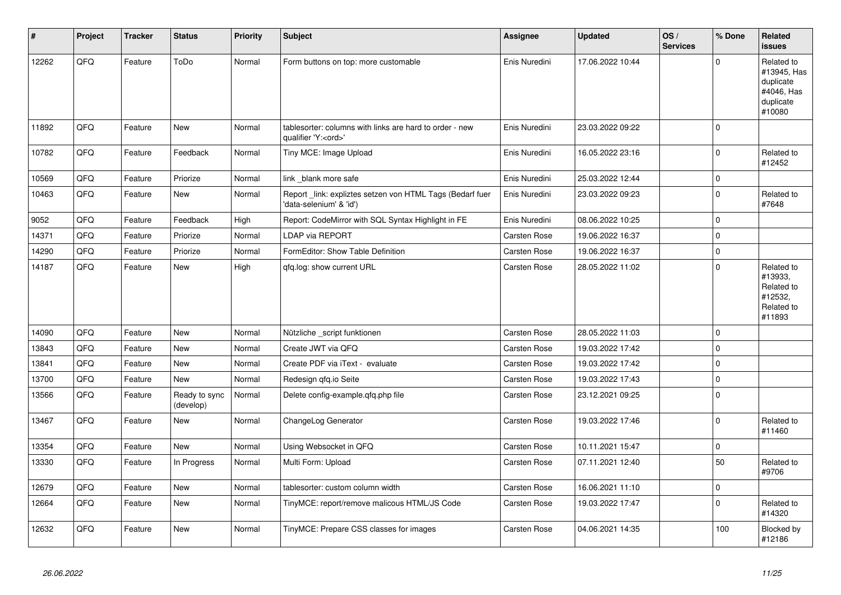| #     | Project | <b>Tracker</b> | <b>Status</b>              | <b>Priority</b> | <b>Subject</b>                                                                        | <b>Assignee</b> | <b>Updated</b>   | OS/<br><b>Services</b> | % Done      | Related<br><b>issues</b>                                                    |
|-------|---------|----------------|----------------------------|-----------------|---------------------------------------------------------------------------------------|-----------------|------------------|------------------------|-------------|-----------------------------------------------------------------------------|
| 12262 | QFQ     | Feature        | ToDo                       | Normal          | Form buttons on top: more customable                                                  | Enis Nuredini   | 17.06.2022 10:44 |                        | $\mathbf 0$ | Related to<br>#13945, Has<br>duplicate<br>#4046, Has<br>duplicate<br>#10080 |
| 11892 | QFQ     | Feature        | New                        | Normal          | tablesorter: columns with links are hard to order - new<br>qualifier 'Y: <ord>'</ord> | Enis Nuredini   | 23.03.2022 09:22 |                        | $\mathbf 0$ |                                                                             |
| 10782 | QFQ     | Feature        | Feedback                   | Normal          | Tiny MCE: Image Upload                                                                | Enis Nuredini   | 16.05.2022 23:16 |                        | $\mathbf 0$ | Related to<br>#12452                                                        |
| 10569 | QFQ     | Feature        | Priorize                   | Normal          | link blank more safe                                                                  | Enis Nuredini   | 25.03.2022 12:44 |                        | $\mathbf 0$ |                                                                             |
| 10463 | QFQ     | Feature        | New                        | Normal          | Report link: expliztes setzen von HTML Tags (Bedarf fuer<br>'data-selenium' & 'id')   | Enis Nuredini   | 23.03.2022 09:23 |                        | $\mathbf 0$ | Related to<br>#7648                                                         |
| 9052  | QFQ     | Feature        | Feedback                   | High            | Report: CodeMirror with SQL Syntax Highlight in FE                                    | Enis Nuredini   | 08.06.2022 10:25 |                        | $\mathbf 0$ |                                                                             |
| 14371 | QFQ     | Feature        | Priorize                   | Normal          | LDAP via REPORT                                                                       | Carsten Rose    | 19.06.2022 16:37 |                        | $\pmb{0}$   |                                                                             |
| 14290 | QFQ     | Feature        | Priorize                   | Normal          | FormEditor: Show Table Definition                                                     | Carsten Rose    | 19.06.2022 16:37 |                        | $\pmb{0}$   |                                                                             |
| 14187 | QFQ     | Feature        | New                        | High            | qfq.log: show current URL                                                             | Carsten Rose    | 28.05.2022 11:02 |                        | $\mathbf 0$ | Related to<br>#13933,<br>Related to<br>#12532,<br>Related to<br>#11893      |
| 14090 | QFQ     | Feature        | New                        | Normal          | Nützliche _script funktionen                                                          | Carsten Rose    | 28.05.2022 11:03 |                        | $\mathbf 0$ |                                                                             |
| 13843 | QFQ     | Feature        | New                        | Normal          | Create JWT via QFQ                                                                    | Carsten Rose    | 19.03.2022 17:42 |                        | $\pmb{0}$   |                                                                             |
| 13841 | QFQ     | Feature        | <b>New</b>                 | Normal          | Create PDF via iText - evaluate                                                       | Carsten Rose    | 19.03.2022 17:42 |                        | $\pmb{0}$   |                                                                             |
| 13700 | QFQ     | Feature        | New                        | Normal          | Redesign gfg.io Seite                                                                 | Carsten Rose    | 19.03.2022 17:43 |                        | $\pmb{0}$   |                                                                             |
| 13566 | QFQ     | Feature        | Ready to sync<br>(develop) | Normal          | Delete config-example.qfq.php file                                                    | Carsten Rose    | 23.12.2021 09:25 |                        | $\pmb{0}$   |                                                                             |
| 13467 | QFQ     | Feature        | New                        | Normal          | ChangeLog Generator                                                                   | Carsten Rose    | 19.03.2022 17:46 |                        | $\mathbf 0$ | Related to<br>#11460                                                        |
| 13354 | QFQ     | Feature        | <b>New</b>                 | Normal          | Using Websocket in QFQ                                                                | Carsten Rose    | 10.11.2021 15:47 |                        | $\pmb{0}$   |                                                                             |
| 13330 | QFQ     | Feature        | In Progress                | Normal          | Multi Form: Upload                                                                    | Carsten Rose    | 07.11.2021 12:40 |                        | 50          | Related to<br>#9706                                                         |
| 12679 | QFQ     | Feature        | <b>New</b>                 | Normal          | tablesorter: custom column width                                                      | Carsten Rose    | 16.06.2021 11:10 |                        | $\pmb{0}$   |                                                                             |
| 12664 | QFQ     | Feature        | <b>New</b>                 | Normal          | TinyMCE: report/remove malicous HTML/JS Code                                          | Carsten Rose    | 19.03.2022 17:47 |                        | $\mathbf 0$ | Related to<br>#14320                                                        |
| 12632 | QFQ     | Feature        | New                        | Normal          | TinyMCE: Prepare CSS classes for images                                               | Carsten Rose    | 04.06.2021 14:35 |                        | 100         | Blocked by<br>#12186                                                        |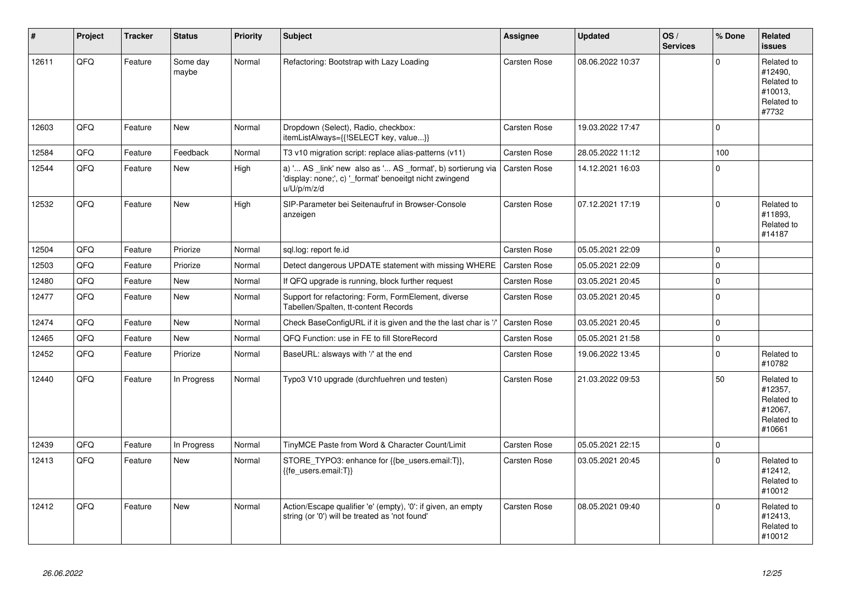| #     | Project | <b>Tracker</b> | <b>Status</b>     | <b>Priority</b> | <b>Subject</b>                                                                                                                        | <b>Assignee</b>     | <b>Updated</b>   | OS/<br><b>Services</b> | % Done              | Related<br><b>issues</b>                                               |
|-------|---------|----------------|-------------------|-----------------|---------------------------------------------------------------------------------------------------------------------------------------|---------------------|------------------|------------------------|---------------------|------------------------------------------------------------------------|
| 12611 | QFQ     | Feature        | Some day<br>maybe | Normal          | Refactoring: Bootstrap with Lazy Loading                                                                                              | Carsten Rose        | 08.06.2022 10:37 |                        | $\mathbf 0$         | Related to<br>#12490.<br>Related to<br>#10013.<br>Related to<br>#7732  |
| 12603 | QFQ     | Feature        | New               | Normal          | Dropdown (Select), Radio, checkbox:<br>itemListAlways={{!SELECT key, value}}                                                          | Carsten Rose        | 19.03.2022 17:47 |                        | $\pmb{0}$           |                                                                        |
| 12584 | QFQ     | Feature        | Feedback          | Normal          | T3 v10 migration script: replace alias-patterns (v11)                                                                                 | Carsten Rose        | 28.05.2022 11:12 |                        | 100                 |                                                                        |
| 12544 | QFQ     | Feature        | New               | High            | a) ' AS _link' new also as ' AS _format', b) sortierung via<br>'display: none;', c) '_format' benoeitgt nicht zwingend<br>u/U/p/m/z/d | <b>Carsten Rose</b> | 14.12.2021 16:03 |                        | $\mathbf 0$         |                                                                        |
| 12532 | QFQ     | Feature        | <b>New</b>        | High            | SIP-Parameter bei Seitenaufruf in Browser-Console<br>anzeigen                                                                         | Carsten Rose        | 07.12.2021 17:19 |                        | $\mathbf 0$         | Related to<br>#11893,<br>Related to<br>#14187                          |
| 12504 | QFQ     | Feature        | Priorize          | Normal          | sql.log: report fe.id                                                                                                                 | Carsten Rose        | 05.05.2021 22:09 |                        | $\mathbf 0$         |                                                                        |
| 12503 | QFQ     | Feature        | Priorize          | Normal          | Detect dangerous UPDATE statement with missing WHERE                                                                                  | <b>Carsten Rose</b> | 05.05.2021 22:09 |                        | $\mathbf 0$         |                                                                        |
| 12480 | QFQ     | Feature        | New               | Normal          | If QFQ upgrade is running, block further request                                                                                      | Carsten Rose        | 03.05.2021 20:45 |                        | $\pmb{0}$           |                                                                        |
| 12477 | QFQ     | Feature        | New               | Normal          | Support for refactoring: Form, FormElement, diverse<br>Tabellen/Spalten, tt-content Records                                           | Carsten Rose        | 03.05.2021 20:45 |                        | $\mathbf 0$         |                                                                        |
| 12474 | QFQ     | Feature        | New               | Normal          | Check BaseConfigURL if it is given and the the last char is '/'                                                                       | <b>Carsten Rose</b> | 03.05.2021 20:45 |                        | $\mathbf 0$         |                                                                        |
| 12465 | QFQ     | Feature        | New               | Normal          | QFQ Function: use in FE to fill StoreRecord                                                                                           | Carsten Rose        | 05.05.2021 21:58 |                        | $\pmb{0}$           |                                                                        |
| 12452 | QFQ     | Feature        | Priorize          | Normal          | BaseURL: alsways with '/' at the end                                                                                                  | Carsten Rose        | 19.06.2022 13:45 |                        | $\mathbf 0$         | Related to<br>#10782                                                   |
| 12440 | QFQ     | Feature        | In Progress       | Normal          | Typo3 V10 upgrade (durchfuehren und testen)                                                                                           | Carsten Rose        | 21.03.2022 09:53 |                        | 50                  | Related to<br>#12357,<br>Related to<br>#12067.<br>Related to<br>#10661 |
| 12439 | QFQ     | Feature        | In Progress       | Normal          | TinyMCE Paste from Word & Character Count/Limit                                                                                       | Carsten Rose        | 05.05.2021 22:15 |                        | $\mathsf{O}\xspace$ |                                                                        |
| 12413 | QFQ     | Feature        | <b>New</b>        | Normal          | STORE_TYPO3: enhance for {{be_users.email:T}},<br>{{fe users.email:T}}                                                                | Carsten Rose        | 03.05.2021 20:45 |                        | $\Omega$            | Related to<br>#12412,<br>Related to<br>#10012                          |
| 12412 | QFQ     | Feature        | <b>New</b>        | Normal          | Action/Escape qualifier 'e' (empty), '0': if given, an empty<br>string (or '0') will be treated as 'not found'                        | <b>Carsten Rose</b> | 08.05.2021 09:40 |                        | $\Omega$            | Related to<br>#12413,<br>Related to<br>#10012                          |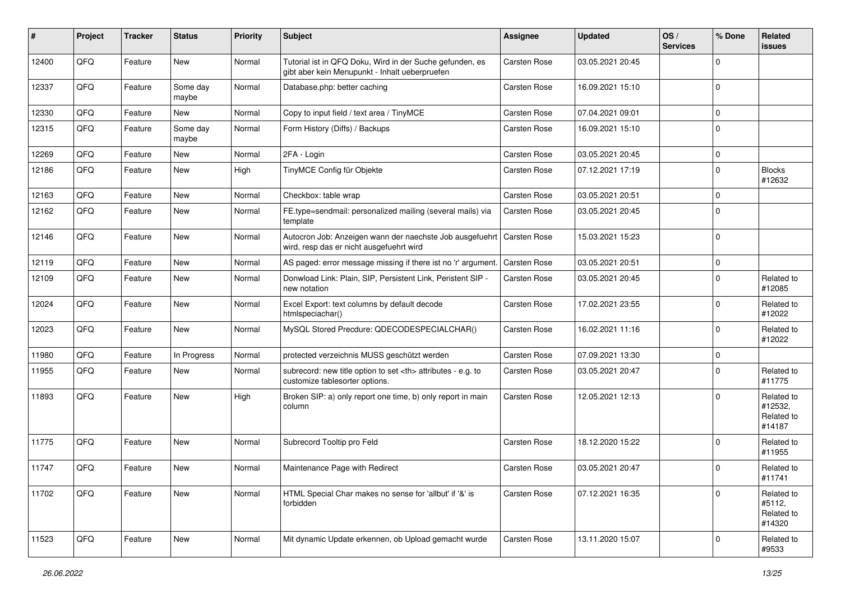| #     | Project | <b>Tracker</b> | <b>Status</b>     | <b>Priority</b> | <b>Subject</b>                                                                                             | <b>Assignee</b>                                        | <b>Updated</b>   | OS/<br><b>Services</b> | % Done   | Related<br><b>issues</b>                      |                      |
|-------|---------|----------------|-------------------|-----------------|------------------------------------------------------------------------------------------------------------|--------------------------------------------------------|------------------|------------------------|----------|-----------------------------------------------|----------------------|
| 12400 | QFQ     | Feature        | New               | Normal          | Tutorial ist in QFQ Doku, Wird in der Suche gefunden, es<br>gibt aber kein Menupunkt - Inhalt ueberpruefen | <b>Carsten Rose</b>                                    | 03.05.2021 20:45 |                        | $\Omega$ |                                               |                      |
| 12337 | QFQ     | Feature        | Some day<br>maybe | Normal          | Database.php: better caching                                                                               | <b>Carsten Rose</b>                                    | 16.09.2021 15:10 |                        | $\Omega$ |                                               |                      |
| 12330 | QFQ     | Feature        | New               | Normal          | Copy to input field / text area / TinyMCE                                                                  | Carsten Rose                                           | 07.04.2021 09:01 |                        | $\Omega$ |                                               |                      |
| 12315 | QFQ     | Feature        | Some day<br>maybe | Normal          | Form History (Diffs) / Backups                                                                             | Carsten Rose                                           | 16.09.2021 15:10 |                        | $\Omega$ |                                               |                      |
| 12269 | QFQ     | Feature        | New               | Normal          | 2FA - Login                                                                                                | Carsten Rose                                           | 03.05.2021 20:45 |                        | $\Omega$ |                                               |                      |
| 12186 | QFQ     | Feature        | New               | High            | TinyMCE Config für Objekte                                                                                 | Carsten Rose                                           | 07.12.2021 17:19 |                        | $\Omega$ | <b>Blocks</b><br>#12632                       |                      |
| 12163 | QFQ     | Feature        | <b>New</b>        | Normal          | Checkbox: table wrap                                                                                       | Carsten Rose                                           | 03.05.2021 20:51 |                        | $\Omega$ |                                               |                      |
| 12162 | QFQ     | Feature        | New               | Normal          | FE.type=sendmail: personalized mailing (several mails) via<br>template                                     | Carsten Rose                                           | 03.05.2021 20:45 |                        | $\Omega$ |                                               |                      |
| 12146 | QFQ     | Feature        | New               | Normal          | Autocron Job: Anzeigen wann der naechste Job ausgefuehrt<br>wird, resp das er nicht ausgefuehrt wird       | Carsten Rose                                           | 15.03.2021 15:23 |                        | $\Omega$ |                                               |                      |
| 12119 | QFQ     | Feature        | New               | Normal          | AS paged: error message missing if there ist no 'r' argument.                                              | Carsten Rose                                           | 03.05.2021 20:51 |                        | $\Omega$ |                                               |                      |
| 12109 | QFQ     | Feature        | New               | Normal          | Donwload Link: Plain, SIP, Persistent Link, Peristent SIP -<br>new notation                                | Carsten Rose                                           | 03.05.2021 20:45 |                        | $\Omega$ | Related to<br>#12085                          |                      |
| 12024 | QFQ     | Feature        | New               | Normal          | Excel Export: text columns by default decode<br>htmlspeciachar()                                           | Carsten Rose                                           | 17.02.2021 23:55 |                        | $\Omega$ | Related to<br>#12022                          |                      |
| 12023 | QFQ     | Feature        | New               | Normal          | MySQL Stored Precdure: QDECODESPECIALCHAR()                                                                | Carsten Rose                                           | 16.02.2021 11:16 |                        | $\Omega$ | Related to<br>#12022                          |                      |
| 11980 | QFQ     | Feature        | In Progress       | Normal          | protected verzeichnis MUSS geschützt werden                                                                | Carsten Rose                                           | 07.09.2021 13:30 |                        | $\Omega$ |                                               |                      |
| 11955 | QFQ     | Feature        | New               | Normal          | subrecord: new title option to set <th> attributes - e.g. to<br/>customize tablesorter options.</th>       | attributes - e.g. to<br>customize tablesorter options. | Carsten Rose     | 03.05.2021 20:47       |          | $\Omega$                                      | Related to<br>#11775 |
| 11893 | QFQ     | Feature        | New               | High            | Broken SIP: a) only report one time, b) only report in main<br>column                                      | Carsten Rose                                           | 12.05.2021 12:13 |                        | $\Omega$ | Related to<br>#12532,<br>Related to<br>#14187 |                      |
| 11775 | QFQ     | Feature        | New               | Normal          | Subrecord Tooltip pro Feld                                                                                 | Carsten Rose                                           | 18.12.2020 15:22 |                        | $\Omega$ | Related to<br>#11955                          |                      |
| 11747 | QFQ     | Feature        | New               | Normal          | Maintenance Page with Redirect                                                                             | Carsten Rose                                           | 03.05.2021 20:47 |                        | $\Omega$ | Related to<br>#11/41                          |                      |
| 11702 | QFQ     | Feature        | New               | Normal          | HTML Special Char makes no sense for 'allbut' if '&' is<br>forbidden                                       | Carsten Rose                                           | 07.12.2021 16:35 |                        | $\Omega$ | Related to<br>#5112,<br>Related to<br>#14320  |                      |
| 11523 | QFQ     | Feature        | New               | Normal          | Mit dynamic Update erkennen, ob Upload gemacht wurde                                                       | Carsten Rose                                           | 13.11.2020 15:07 |                        | 0        | Related to<br>#9533                           |                      |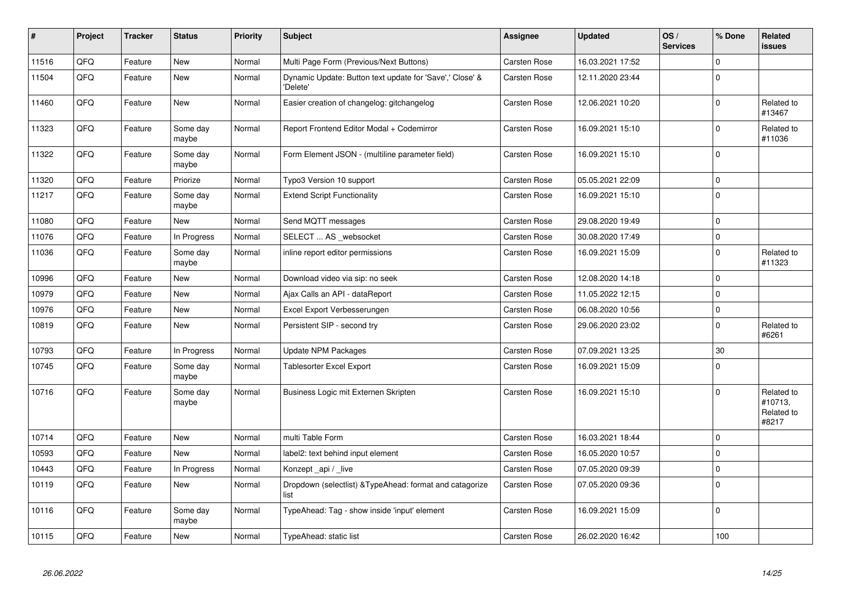| #     | Project | <b>Tracker</b> | <b>Status</b>     | <b>Priority</b> | <b>Subject</b>                                                       | Assignee            | <b>Updated</b>   | OS/<br><b>Services</b> | % Done      | Related<br><b>issues</b>                     |
|-------|---------|----------------|-------------------|-----------------|----------------------------------------------------------------------|---------------------|------------------|------------------------|-------------|----------------------------------------------|
| 11516 | QFQ     | Feature        | <b>New</b>        | Normal          | Multi Page Form (Previous/Next Buttons)                              | <b>Carsten Rose</b> | 16.03.2021 17:52 |                        | $\Omega$    |                                              |
| 11504 | QFQ     | Feature        | New               | Normal          | Dynamic Update: Button text update for 'Save',' Close' &<br>'Delete' | Carsten Rose        | 12.11.2020 23:44 |                        | $\Omega$    |                                              |
| 11460 | QFQ     | Feature        | <b>New</b>        | Normal          | Easier creation of changelog: gitchangelog                           | Carsten Rose        | 12.06.2021 10:20 |                        | $\mathbf 0$ | Related to<br>#13467                         |
| 11323 | QFQ     | Feature        | Some day<br>maybe | Normal          | Report Frontend Editor Modal + Codemirror                            | Carsten Rose        | 16.09.2021 15:10 |                        | $\mathbf 0$ | Related to<br>#11036                         |
| 11322 | QFQ     | Feature        | Some day<br>maybe | Normal          | Form Element JSON - (multiline parameter field)                      | Carsten Rose        | 16.09.2021 15:10 |                        | $\mathbf 0$ |                                              |
| 11320 | QFQ     | Feature        | Priorize          | Normal          | Typo3 Version 10 support                                             | Carsten Rose        | 05.05.2021 22:09 |                        | $\mathbf 0$ |                                              |
| 11217 | QFQ     | Feature        | Some day<br>maybe | Normal          | <b>Extend Script Functionality</b>                                   | Carsten Rose        | 16.09.2021 15:10 |                        | $\mathbf 0$ |                                              |
| 11080 | QFQ     | Feature        | New               | Normal          | Send MQTT messages                                                   | Carsten Rose        | 29.08.2020 19:49 |                        | $\mathbf 0$ |                                              |
| 11076 | QFQ     | Feature        | In Progress       | Normal          | SELECT  AS websocket                                                 | Carsten Rose        | 30.08.2020 17:49 |                        | $\mathbf 0$ |                                              |
| 11036 | QFQ     | Feature        | Some day<br>maybe | Normal          | inline report editor permissions                                     | Carsten Rose        | 16.09.2021 15:09 |                        | $\mathbf 0$ | Related to<br>#11323                         |
| 10996 | QFQ     | Feature        | <b>New</b>        | Normal          | Download video via sip: no seek                                      | Carsten Rose        | 12.08.2020 14:18 |                        | $\mathbf 0$ |                                              |
| 10979 | QFQ     | Feature        | New               | Normal          | Ajax Calls an API - dataReport                                       | Carsten Rose        | 11.05.2022 12:15 |                        | $\mathbf 0$ |                                              |
| 10976 | QFQ     | Feature        | <b>New</b>        | Normal          | Excel Export Verbesserungen                                          | Carsten Rose        | 06.08.2020 10:56 |                        | $\mathbf 0$ |                                              |
| 10819 | QFQ     | Feature        | New               | Normal          | Persistent SIP - second try                                          | Carsten Rose        | 29.06.2020 23:02 |                        | $\Omega$    | Related to<br>#6261                          |
| 10793 | QFQ     | Feature        | In Progress       | Normal          | <b>Update NPM Packages</b>                                           | Carsten Rose        | 07.09.2021 13:25 |                        | 30          |                                              |
| 10745 | QFQ     | Feature        | Some day<br>maybe | Normal          | <b>Tablesorter Excel Export</b>                                      | Carsten Rose        | 16.09.2021 15:09 |                        | $\Omega$    |                                              |
| 10716 | QFQ     | Feature        | Some day<br>maybe | Normal          | Business Logic mit Externen Skripten                                 | Carsten Rose        | 16.09.2021 15:10 |                        | $\Omega$    | Related to<br>#10713,<br>Related to<br>#8217 |
| 10714 | QFQ     | Feature        | New               | Normal          | multi Table Form                                                     | Carsten Rose        | 16.03.2021 18:44 |                        | $\mathbf 0$ |                                              |
| 10593 | QFQ     | Feature        | <b>New</b>        | Normal          | label2: text behind input element                                    | Carsten Rose        | 16.05.2020 10:57 |                        | $\mathbf 0$ |                                              |
| 10443 | QFQ     | Feature        | In Progress       | Normal          | Konzept api / live                                                   | Carsten Rose        | 07.05.2020 09:39 |                        | $\mathbf 0$ |                                              |
| 10119 | QFQ     | Feature        | New               | Normal          | Dropdown (selectlist) & Type Ahead: format and catagorize<br>list    | Carsten Rose        | 07.05.2020 09:36 |                        | $\mathbf 0$ |                                              |
| 10116 | QFQ     | Feature        | Some day<br>maybe | Normal          | TypeAhead: Tag - show inside 'input' element                         | Carsten Rose        | 16.09.2021 15:09 |                        | $\mathbf 0$ |                                              |
| 10115 | QFQ     | Feature        | <b>New</b>        | Normal          | TypeAhead: static list                                               | Carsten Rose        | 26.02.2020 16:42 |                        | 100         |                                              |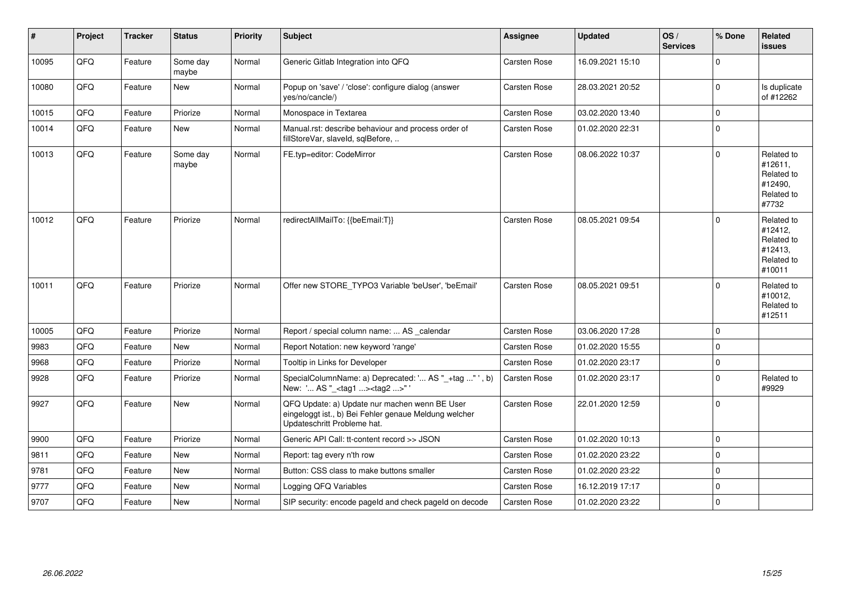| #     | Project | <b>Tracker</b> | <b>Status</b>     | <b>Priority</b> | <b>Subject</b>                                                                                                                        | <b>Assignee</b>     | <b>Updated</b>   | OS/<br><b>Services</b> | % Done      | Related<br><b>issues</b>                                               |
|-------|---------|----------------|-------------------|-----------------|---------------------------------------------------------------------------------------------------------------------------------------|---------------------|------------------|------------------------|-------------|------------------------------------------------------------------------|
| 10095 | QFQ     | Feature        | Some day<br>maybe | Normal          | Generic Gitlab Integration into QFQ                                                                                                   | Carsten Rose        | 16.09.2021 15:10 |                        | $\mathbf 0$ |                                                                        |
| 10080 | QFQ     | Feature        | New               | Normal          | Popup on 'save' / 'close': configure dialog (answer<br>yes/no/cancle/)                                                                | Carsten Rose        | 28.03.2021 20:52 |                        | $\mathbf 0$ | Is duplicate<br>of #12262                                              |
| 10015 | QFQ     | Feature        | Priorize          | Normal          | Monospace in Textarea                                                                                                                 | Carsten Rose        | 03.02.2020 13:40 |                        | $\pmb{0}$   |                                                                        |
| 10014 | QFQ     | Feature        | <b>New</b>        | Normal          | Manual.rst: describe behaviour and process order of<br>fillStoreVar, slaveId, sqlBefore,                                              | Carsten Rose        | 01.02.2020 22:31 |                        | $\mathbf 0$ |                                                                        |
| 10013 | QFQ     | Feature        | Some day<br>maybe | Normal          | FE.typ=editor: CodeMirror                                                                                                             | Carsten Rose        | 08.06.2022 10:37 |                        | $\Omega$    | Related to<br>#12611,<br>Related to<br>#12490.<br>Related to<br>#7732  |
| 10012 | QFQ     | Feature        | Priorize          | Normal          | redirectAllMailTo: {{beEmail:T}}                                                                                                      | <b>Carsten Rose</b> | 08.05.2021 09:54 |                        | $\Omega$    | Related to<br>#12412,<br>Related to<br>#12413,<br>Related to<br>#10011 |
| 10011 | QFQ     | Feature        | Priorize          | Normal          | Offer new STORE_TYPO3 Variable 'beUser', 'beEmail'                                                                                    | <b>Carsten Rose</b> | 08.05.2021 09:51 |                        | $\mathbf 0$ | Related to<br>#10012,<br>Related to<br>#12511                          |
| 10005 | QFQ     | Feature        | Priorize          | Normal          | Report / special column name:  AS _calendar                                                                                           | Carsten Rose        | 03.06.2020 17:28 |                        | $\mathbf 0$ |                                                                        |
| 9983  | QFQ     | Feature        | <b>New</b>        | Normal          | Report Notation: new keyword 'range'                                                                                                  | Carsten Rose        | 01.02.2020 15:55 |                        | $\mathbf 0$ |                                                                        |
| 9968  | QFQ     | Feature        | Priorize          | Normal          | Tooltip in Links for Developer                                                                                                        | Carsten Rose        | 01.02.2020 23:17 |                        | $\pmb{0}$   |                                                                        |
| 9928  | QFQ     | Feature        | Priorize          | Normal          | SpecialColumnName: a) Deprecated: ' AS "_+tag " ', b)<br>New: ' AS "_ <tag1><tag2>"</tag2></tag1>                                     | Carsten Rose        | 01.02.2020 23:17 |                        | $\mathbf 0$ | Related to<br>#9929                                                    |
| 9927  | QFQ     | Feature        | <b>New</b>        | Normal          | QFQ Update: a) Update nur machen wenn BE User<br>eingeloggt ist., b) Bei Fehler genaue Meldung welcher<br>Updateschritt Probleme hat. | Carsten Rose        | 22.01.2020 12:59 |                        | $\mathbf 0$ |                                                                        |
| 9900  | QFQ     | Feature        | Priorize          | Normal          | Generic API Call: tt-content record >> JSON                                                                                           | Carsten Rose        | 01.02.2020 10:13 |                        | $\mathbf 0$ |                                                                        |
| 9811  | QFQ     | Feature        | <b>New</b>        | Normal          | Report: tag every n'th row                                                                                                            | Carsten Rose        | 01.02.2020 23:22 |                        | $\mathbf 0$ |                                                                        |
| 9781  | QFQ     | Feature        | <b>New</b>        | Normal          | Button: CSS class to make buttons smaller                                                                                             | Carsten Rose        | 01.02.2020 23:22 |                        | $\mathbf 0$ |                                                                        |
| 9777  | QFQ     | Feature        | New               | Normal          | Logging QFQ Variables                                                                                                                 | Carsten Rose        | 16.12.2019 17:17 |                        | $\mathbf 0$ |                                                                        |
| 9707  | QFQ     | Feature        | <b>New</b>        | Normal          | SIP security: encode pageld and check pageld on decode                                                                                | Carsten Rose        | 01.02.2020 23:22 |                        | $\mathbf 0$ |                                                                        |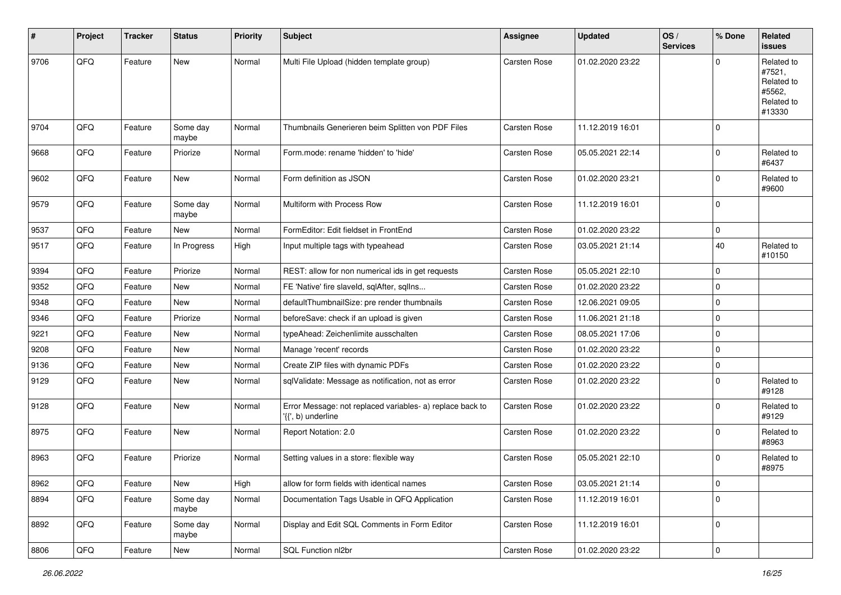| #    | Project | <b>Tracker</b> | <b>Status</b>     | <b>Priority</b> | <b>Subject</b>                                                                  | <b>Assignee</b>     | <b>Updated</b>   | OS/<br><b>Services</b> | % Done      | Related<br><b>issues</b>                                             |
|------|---------|----------------|-------------------|-----------------|---------------------------------------------------------------------------------|---------------------|------------------|------------------------|-------------|----------------------------------------------------------------------|
| 9706 | QFQ     | Feature        | New               | Normal          | Multi File Upload (hidden template group)                                       | <b>Carsten Rose</b> | 01.02.2020 23:22 |                        | $\Omega$    | Related to<br>#7521,<br>Related to<br>#5562,<br>Related to<br>#13330 |
| 9704 | QFQ     | Feature        | Some day<br>maybe | Normal          | Thumbnails Generieren beim Splitten von PDF Files                               | Carsten Rose        | 11.12.2019 16:01 |                        | $\mathbf 0$ |                                                                      |
| 9668 | QFQ     | Feature        | Priorize          | Normal          | Form.mode: rename 'hidden' to 'hide'                                            | Carsten Rose        | 05.05.2021 22:14 |                        | $\mathbf 0$ | Related to<br>#6437                                                  |
| 9602 | QFQ     | Feature        | New               | Normal          | Form definition as JSON                                                         | Carsten Rose        | 01.02.2020 23:21 |                        | $\mathbf 0$ | Related to<br>#9600                                                  |
| 9579 | QFQ     | Feature        | Some day<br>maybe | Normal          | Multiform with Process Row                                                      | Carsten Rose        | 11.12.2019 16:01 |                        | $\mathbf 0$ |                                                                      |
| 9537 | QFQ     | Feature        | <b>New</b>        | Normal          | FormEditor: Edit fieldset in FrontEnd                                           | Carsten Rose        | 01.02.2020 23:22 |                        | $\pmb{0}$   |                                                                      |
| 9517 | QFQ     | Feature        | In Progress       | High            | Input multiple tags with typeahead                                              | Carsten Rose        | 03.05.2021 21:14 |                        | 40          | Related to<br>#10150                                                 |
| 9394 | QFQ     | Feature        | Priorize          | Normal          | REST: allow for non numerical ids in get requests                               | Carsten Rose        | 05.05.2021 22:10 |                        | $\mathbf 0$ |                                                                      |
| 9352 | QFQ     | Feature        | New               | Normal          | FE 'Native' fire slaveld, sqlAfter, sqlIns                                      | Carsten Rose        | 01.02.2020 23:22 |                        | 0           |                                                                      |
| 9348 | QFQ     | Feature        | New               | Normal          | defaultThumbnailSize: pre render thumbnails                                     | Carsten Rose        | 12.06.2021 09:05 |                        | $\pmb{0}$   |                                                                      |
| 9346 | QFQ     | Feature        | Priorize          | Normal          | beforeSave: check if an upload is given                                         | Carsten Rose        | 11.06.2021 21:18 |                        | $\pmb{0}$   |                                                                      |
| 9221 | QFQ     | Feature        | New               | Normal          | typeAhead: Zeichenlimite ausschalten                                            | Carsten Rose        | 08.05.2021 17:06 |                        | $\mathbf 0$ |                                                                      |
| 9208 | QFQ     | Feature        | <b>New</b>        | Normal          | Manage 'recent' records                                                         | Carsten Rose        | 01.02.2020 23:22 |                        | $\pmb{0}$   |                                                                      |
| 9136 | QFQ     | Feature        | New               | Normal          | Create ZIP files with dynamic PDFs                                              | Carsten Rose        | 01.02.2020 23:22 |                        | $\pmb{0}$   |                                                                      |
| 9129 | QFQ     | Feature        | New               | Normal          | sqlValidate: Message as notification, not as error                              | Carsten Rose        | 01.02.2020 23:22 |                        | $\Omega$    | Related to<br>#9128                                                  |
| 9128 | QFQ     | Feature        | New               | Normal          | Error Message: not replaced variables- a) replace back to<br>'{{', b) underline | Carsten Rose        | 01.02.2020 23:22 |                        | $\mathbf 0$ | Related to<br>#9129                                                  |
| 8975 | QFQ     | Feature        | New               | Normal          | Report Notation: 2.0                                                            | Carsten Rose        | 01.02.2020 23:22 |                        | 0           | Related to<br>#8963                                                  |
| 8963 | QFQ     | Feature        | Priorize          | Normal          | Setting values in a store: flexible way                                         | Carsten Rose        | 05.05.2021 22:10 |                        | $\Omega$    | Related to<br>#8975                                                  |
| 8962 | QFQ     | Feature        | New               | High            | allow for form fields with identical names                                      | Carsten Rose        | 03.05.2021 21:14 |                        | $\pmb{0}$   |                                                                      |
| 8894 | QFQ     | Feature        | Some day<br>maybe | Normal          | Documentation Tags Usable in QFQ Application                                    | Carsten Rose        | 11.12.2019 16:01 |                        | $\Omega$    |                                                                      |
| 8892 | QFQ     | Feature        | Some day<br>maybe | Normal          | Display and Edit SQL Comments in Form Editor                                    | Carsten Rose        | 11.12.2019 16:01 |                        | $\pmb{0}$   |                                                                      |
| 8806 | QFQ     | Feature        | New               | Normal          | SQL Function nl2br                                                              | Carsten Rose        | 01.02.2020 23:22 |                        | $\pmb{0}$   |                                                                      |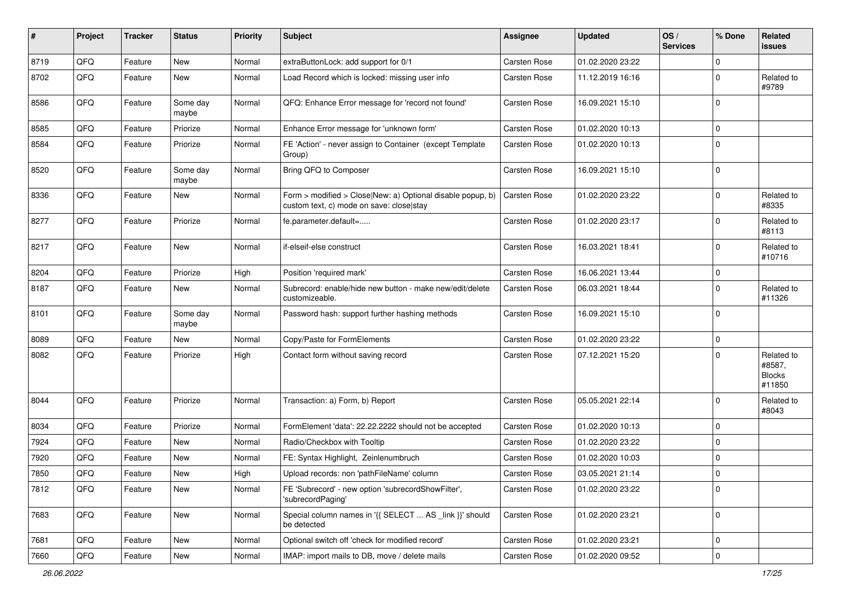| #    | Project | <b>Tracker</b> | <b>Status</b>     | <b>Priority</b> | <b>Subject</b>                                                                                         | Assignee            | <b>Updated</b>   | OS/<br><b>Services</b> | % Done      | <b>Related</b><br><b>issues</b>                 |
|------|---------|----------------|-------------------|-----------------|--------------------------------------------------------------------------------------------------------|---------------------|------------------|------------------------|-------------|-------------------------------------------------|
| 8719 | QFQ     | Feature        | New               | Normal          | extraButtonLock: add support for 0/1                                                                   | Carsten Rose        | 01.02.2020 23:22 |                        | $\mathbf 0$ |                                                 |
| 8702 | QFQ     | Feature        | New               | Normal          | Load Record which is locked: missing user info                                                         | Carsten Rose        | 11.12.2019 16:16 |                        | $\mathbf 0$ | Related to<br>#9789                             |
| 8586 | QFQ     | Feature        | Some day<br>maybe | Normal          | QFQ: Enhance Error message for 'record not found'                                                      | Carsten Rose        | 16.09.2021 15:10 |                        | $\mathbf 0$ |                                                 |
| 8585 | QFQ     | Feature        | Priorize          | Normal          | Enhance Error message for 'unknown form'                                                               | Carsten Rose        | 01.02.2020 10:13 |                        | $\mathbf 0$ |                                                 |
| 8584 | QFQ     | Feature        | Priorize          | Normal          | FE 'Action' - never assign to Container (except Template<br>Group)                                     | Carsten Rose        | 01.02.2020 10:13 |                        | $\mathbf 0$ |                                                 |
| 8520 | QFQ     | Feature        | Some day<br>maybe | Normal          | Bring QFQ to Composer                                                                                  | Carsten Rose        | 16.09.2021 15:10 |                        | $\mathbf 0$ |                                                 |
| 8336 | QFQ     | Feature        | New               | Normal          | Form > modified > Close New: a) Optional disable popup, b)<br>custom text, c) mode on save: close stay | Carsten Rose        | 01.02.2020 23:22 |                        | $\mathbf 0$ | Related to<br>#8335                             |
| 8277 | QFQ     | Feature        | Priorize          | Normal          | fe.parameter.default=                                                                                  | Carsten Rose        | 01.02.2020 23:17 |                        | $\mathbf 0$ | Related to<br>#8113                             |
| 8217 | QFQ     | Feature        | <b>New</b>        | Normal          | if-elseif-else construct                                                                               | Carsten Rose        | 16.03.2021 18:41 |                        | $\mathbf 0$ | Related to<br>#10716                            |
| 8204 | QFQ     | Feature        | Priorize          | High            | Position 'required mark'                                                                               | Carsten Rose        | 16.06.2021 13:44 |                        | $\mathbf 0$ |                                                 |
| 8187 | QFQ     | Feature        | New               | Normal          | Subrecord: enable/hide new button - make new/edit/delete<br>customizeable.                             | Carsten Rose        | 06.03.2021 18:44 |                        | $\mathbf 0$ | Related to<br>#11326                            |
| 8101 | QFQ     | Feature        | Some day<br>maybe | Normal          | Password hash: support further hashing methods                                                         | Carsten Rose        | 16.09.2021 15:10 |                        | $\mathbf 0$ |                                                 |
| 8089 | QFQ     | Feature        | <b>New</b>        | Normal          | Copy/Paste for FormElements                                                                            | Carsten Rose        | 01.02.2020 23:22 |                        | $\mathbf 0$ |                                                 |
| 8082 | QFQ     | Feature        | Priorize          | High            | Contact form without saving record                                                                     | Carsten Rose        | 07.12.2021 15:20 |                        | $\Omega$    | Related to<br>#8587,<br><b>Blocks</b><br>#11850 |
| 8044 | QFQ     | Feature        | Priorize          | Normal          | Transaction: a) Form, b) Report                                                                        | Carsten Rose        | 05.05.2021 22:14 |                        | $\mathbf 0$ | Related to<br>#8043                             |
| 8034 | QFQ     | Feature        | Priorize          | Normal          | FormElement 'data': 22.22.2222 should not be accepted                                                  | Carsten Rose        | 01.02.2020 10:13 |                        | $\mathbf 0$ |                                                 |
| 7924 | QFQ     | Feature        | New               | Normal          | Radio/Checkbox with Tooltip                                                                            | Carsten Rose        | 01.02.2020 23:22 |                        | $\mathbf 0$ |                                                 |
| 7920 | QFQ     | Feature        | <b>New</b>        | Normal          | FE: Syntax Highlight, Zeinlenumbruch                                                                   | Carsten Rose        | 01.02.2020 10:03 |                        | $\mathbf 0$ |                                                 |
| 7850 | QFQ     | Feature        | New               | High            | Upload records: non 'pathFileName' column                                                              | <b>Carsten Rose</b> | 03.05.2021 21:14 |                        | $\Omega$    |                                                 |
| 7812 | QFQ     | Feature        | New               | Normal          | FE 'Subrecord' - new option 'subrecordShowFilter',<br>'subrecordPaging'                                | Carsten Rose        | 01.02.2020 23:22 |                        | $\mathbf 0$ |                                                 |
| 7683 | QFQ     | Feature        | New               | Normal          | Special column names in '{{ SELECT  AS _link }}' should<br>be detected                                 | Carsten Rose        | 01.02.2020 23:21 |                        | $\mathbf 0$ |                                                 |
| 7681 | QFQ     | Feature        | New               | Normal          | Optional switch off 'check for modified record'                                                        | Carsten Rose        | 01.02.2020 23:21 |                        | $\mathbf 0$ |                                                 |
| 7660 | QFG     | Feature        | New               | Normal          | IMAP: import mails to DB, move / delete mails                                                          | Carsten Rose        | 01.02.2020 09:52 |                        | $\mathbf 0$ |                                                 |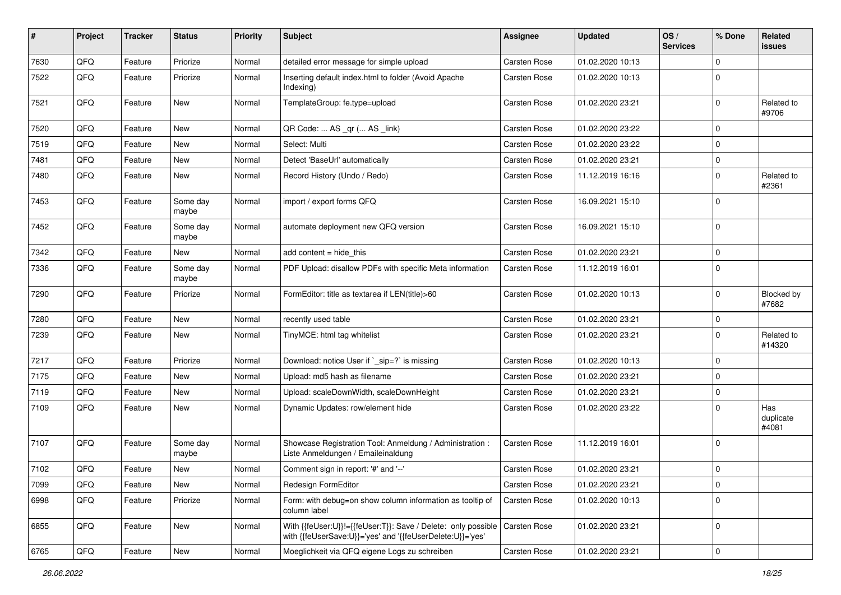| #    | Project | <b>Tracker</b> | <b>Status</b>     | <b>Priority</b> | <b>Subject</b>                                                                                                             | <b>Assignee</b> | <b>Updated</b>   | OS/<br><b>Services</b> | % Done      | Related<br><b>issues</b>  |
|------|---------|----------------|-------------------|-----------------|----------------------------------------------------------------------------------------------------------------------------|-----------------|------------------|------------------------|-------------|---------------------------|
| 7630 | QFQ     | Feature        | Priorize          | Normal          | detailed error message for simple upload                                                                                   | Carsten Rose    | 01.02.2020 10:13 |                        | $\mathbf 0$ |                           |
| 7522 | QFQ     | Feature        | Priorize          | Normal          | Inserting default index.html to folder (Avoid Apache<br>Indexing)                                                          | Carsten Rose    | 01.02.2020 10:13 |                        | $\mathbf 0$ |                           |
| 7521 | QFQ     | Feature        | <b>New</b>        | Normal          | TemplateGroup: fe.type=upload                                                                                              | Carsten Rose    | 01.02.2020 23:21 |                        | $\mathbf 0$ | Related to<br>#9706       |
| 7520 | QFQ     | Feature        | <b>New</b>        | Normal          | QR Code:  AS _qr ( AS _link)                                                                                               | Carsten Rose    | 01.02.2020 23:22 |                        | $\mathbf 0$ |                           |
| 7519 | QFQ     | Feature        | New               | Normal          | Select: Multi                                                                                                              | Carsten Rose    | 01.02.2020 23:22 |                        | $\mathbf 0$ |                           |
| 7481 | QFQ     | Feature        | New               | Normal          | Detect 'BaseUrl' automatically                                                                                             | Carsten Rose    | 01.02.2020 23:21 |                        | $\mathbf 0$ |                           |
| 7480 | QFQ     | Feature        | <b>New</b>        | Normal          | Record History (Undo / Redo)                                                                                               | Carsten Rose    | 11.12.2019 16:16 |                        | $\mathbf 0$ | Related to<br>#2361       |
| 7453 | QFQ     | Feature        | Some day<br>maybe | Normal          | import / export forms QFQ                                                                                                  | Carsten Rose    | 16.09.2021 15:10 |                        | $\mathbf 0$ |                           |
| 7452 | QFQ     | Feature        | Some day<br>maybe | Normal          | automate deployment new QFQ version                                                                                        | Carsten Rose    | 16.09.2021 15:10 |                        | $\mathbf 0$ |                           |
| 7342 | QFQ     | Feature        | New               | Normal          | add content = hide_this                                                                                                    | Carsten Rose    | 01.02.2020 23:21 |                        | $\mathbf 0$ |                           |
| 7336 | QFQ     | Feature        | Some day<br>maybe | Normal          | PDF Upload: disallow PDFs with specific Meta information                                                                   | Carsten Rose    | 11.12.2019 16:01 |                        | 0           |                           |
| 7290 | QFQ     | Feature        | Priorize          | Normal          | FormEditor: title as textarea if LEN(title)>60                                                                             | Carsten Rose    | 01.02.2020 10:13 |                        | $\mathbf 0$ | Blocked by<br>#7682       |
| 7280 | QFQ     | Feature        | <b>New</b>        | Normal          | recently used table                                                                                                        | Carsten Rose    | 01.02.2020 23:21 |                        | $\mathbf 0$ |                           |
| 7239 | QFQ     | Feature        | New               | Normal          | TinyMCE: html tag whitelist                                                                                                | Carsten Rose    | 01.02.2020 23:21 |                        | $\mathbf 0$ | Related to<br>#14320      |
| 7217 | QFQ     | Feature        | Priorize          | Normal          | Download: notice User if `_sip=?` is missing                                                                               | Carsten Rose    | 01.02.2020 10:13 |                        | $\mathbf 0$ |                           |
| 7175 | QFQ     | Feature        | New               | Normal          | Upload: md5 hash as filename                                                                                               | Carsten Rose    | 01.02.2020 23:21 |                        | $\Omega$    |                           |
| 7119 | QFQ     | Feature        | <b>New</b>        | Normal          | Upload: scaleDownWidth, scaleDownHeight                                                                                    | Carsten Rose    | 01.02.2020 23:21 |                        | $\mathbf 0$ |                           |
| 7109 | QFQ     | Feature        | New               | Normal          | Dynamic Updates: row/element hide                                                                                          | Carsten Rose    | 01.02.2020 23:22 |                        | 0           | Has<br>duplicate<br>#4081 |
| 7107 | QFQ     | Feature        | Some day<br>maybe | Normal          | Showcase Registration Tool: Anmeldung / Administration :<br>Liste Anmeldungen / Emaileinaldung                             | Carsten Rose    | 11.12.2019 16:01 |                        | $\mathbf 0$ |                           |
| 7102 | QFQ     | Feature        | <b>New</b>        | Normal          | Comment sign in report: '#' and '--'                                                                                       | Carsten Rose    | 01.02.2020 23:21 |                        | $\mathbf 0$ |                           |
| 7099 | QFQ     | Feature        | New               | Normal          | Redesign FormEditor                                                                                                        | Carsten Rose    | 01.02.2020 23:21 |                        | $\pmb{0}$   |                           |
| 6998 | QFQ     | Feature        | Priorize          | Normal          | Form: with debug=on show column information as tooltip of<br>column label                                                  | Carsten Rose    | 01.02.2020 10:13 |                        | $\mathbf 0$ |                           |
| 6855 | QFQ     | Feature        | New               | Normal          | With {{feUser:U}}!={{feUser:T}}: Save / Delete: only possible<br>with {{feUserSave:U}}='yes' and '{{feUserDelete:U}}='yes' | Carsten Rose    | 01.02.2020 23:21 |                        | 0           |                           |
| 6765 | QFQ     | Feature        | New               | Normal          | Moeglichkeit via QFQ eigene Logs zu schreiben                                                                              | Carsten Rose    | 01.02.2020 23:21 |                        | $\pmb{0}$   |                           |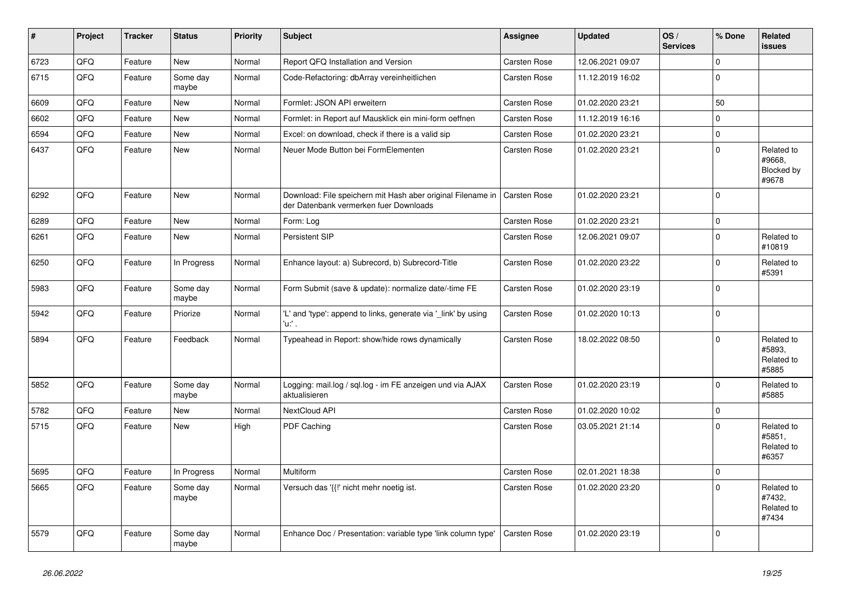| $\sharp$ | Project | <b>Tracker</b> | <b>Status</b>     | <b>Priority</b> | <b>Subject</b>                                                                                        | <b>Assignee</b>     | <b>Updated</b>   | OS/<br><b>Services</b> | % Done      | Related<br><b>issues</b>                    |
|----------|---------|----------------|-------------------|-----------------|-------------------------------------------------------------------------------------------------------|---------------------|------------------|------------------------|-------------|---------------------------------------------|
| 6723     | QFQ     | Feature        | <b>New</b>        | Normal          | Report QFQ Installation and Version                                                                   | Carsten Rose        | 12.06.2021 09:07 |                        | $\mathbf 0$ |                                             |
| 6715     | QFQ     | Feature        | Some day<br>maybe | Normal          | Code-Refactoring: dbArray vereinheitlichen                                                            | Carsten Rose        | 11.12.2019 16:02 |                        | $\mathbf 0$ |                                             |
| 6609     | QFQ     | Feature        | <b>New</b>        | Normal          | Formlet: JSON API erweitern                                                                           | <b>Carsten Rose</b> | 01.02.2020 23:21 |                        | 50          |                                             |
| 6602     | QFQ     | Feature        | <b>New</b>        | Normal          | Formlet: in Report auf Mausklick ein mini-form oeffnen                                                | Carsten Rose        | 11.12.2019 16:16 |                        | $\mathbf 0$ |                                             |
| 6594     | QFQ     | Feature        | <b>New</b>        | Normal          | Excel: on download, check if there is a valid sip                                                     | Carsten Rose        | 01.02.2020 23:21 |                        | $\mathbf 0$ |                                             |
| 6437     | QFQ     | Feature        | <b>New</b>        | Normal          | Neuer Mode Button bei FormElementen                                                                   | Carsten Rose        | 01.02.2020 23:21 |                        | $\mathbf 0$ | Related to<br>#9668,<br>Blocked by<br>#9678 |
| 6292     | QFQ     | Feature        | <b>New</b>        | Normal          | Download: File speichern mit Hash aber original Filename in<br>der Datenbank vermerken fuer Downloads | Carsten Rose        | 01.02.2020 23:21 |                        | $\Omega$    |                                             |
| 6289     | QFQ     | Feature        | <b>New</b>        | Normal          | Form: Log                                                                                             | Carsten Rose        | 01.02.2020 23:21 |                        | $\mathbf 0$ |                                             |
| 6261     | QFQ     | Feature        | <b>New</b>        | Normal          | Persistent SIP                                                                                        | Carsten Rose        | 12.06.2021 09:07 |                        | $\mathbf 0$ | Related to<br>#10819                        |
| 6250     | QFQ     | Feature        | In Progress       | Normal          | Enhance layout: a) Subrecord, b) Subrecord-Title                                                      | Carsten Rose        | 01.02.2020 23:22 |                        | $\Omega$    | Related to<br>#5391                         |
| 5983     | QFQ     | Feature        | Some day<br>maybe | Normal          | Form Submit (save & update): normalize date/-time FE                                                  | <b>Carsten Rose</b> | 01.02.2020 23:19 |                        | $\mathbf 0$ |                                             |
| 5942     | QFQ     | Feature        | Priorize          | Normal          | 'L' and 'type': append to links, generate via '_link' by using<br>'u:' .                              | <b>Carsten Rose</b> | 01.02.2020 10:13 |                        | $\mathbf 0$ |                                             |
| 5894     | QFQ     | Feature        | Feedback          | Normal          | Typeahead in Report: show/hide rows dynamically                                                       | Carsten Rose        | 18.02.2022 08:50 |                        | $\Omega$    | Related to<br>#5893,<br>Related to<br>#5885 |
| 5852     | QFQ     | Feature        | Some day<br>maybe | Normal          | Logging: mail.log / sql.log - im FE anzeigen und via AJAX<br>aktualisieren                            | <b>Carsten Rose</b> | 01.02.2020 23:19 |                        | $\mathbf 0$ | Related to<br>#5885                         |
| 5782     | QFQ     | Feature        | <b>New</b>        | Normal          | NextCloud API                                                                                         | Carsten Rose        | 01.02.2020 10:02 |                        | $\mathbf 0$ |                                             |
| 5715     | QFQ     | Feature        | New               | High            | PDF Caching                                                                                           | Carsten Rose        | 03.05.2021 21:14 |                        | $\Omega$    | Related to<br>#5851,<br>Related to<br>#6357 |
| 5695     | QFQ     | Feature        | In Progress       | Normal          | <b>Multiform</b>                                                                                      | Carsten Rose        | 02.01.2021 18:38 |                        | $\mathbf 0$ |                                             |
| 5665     | QFQ     | Feature        | Some day<br>maybe | Normal          | Versuch das '{{!' nicht mehr noetig ist.                                                              | Carsten Rose        | 01.02.2020 23:20 |                        | $\mathbf 0$ | Related to<br>#7432,<br>Related to<br>#7434 |
| 5579     | QFQ     | Feature        | Some day<br>maybe | Normal          | Enhance Doc / Presentation: variable type 'link column type'                                          | <b>Carsten Rose</b> | 01.02.2020 23:19 |                        | $\Omega$    |                                             |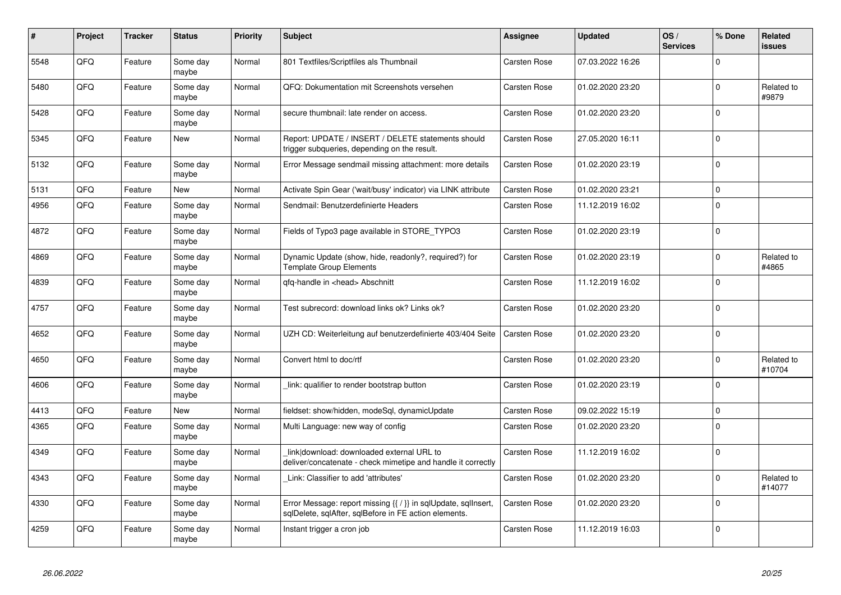| #    | Project | <b>Tracker</b> | <b>Status</b>     | <b>Priority</b> | <b>Subject</b>                                                                                                          | Assignee            | <b>Updated</b>   | OS/<br><b>Services</b> | % Done      | <b>Related</b><br><b>issues</b> |
|------|---------|----------------|-------------------|-----------------|-------------------------------------------------------------------------------------------------------------------------|---------------------|------------------|------------------------|-------------|---------------------------------|
| 5548 | QFQ     | Feature        | Some day<br>maybe | Normal          | 801 Textfiles/Scriptfiles als Thumbnail                                                                                 | Carsten Rose        | 07.03.2022 16:26 |                        | $\mathbf 0$ |                                 |
| 5480 | QFQ     | Feature        | Some day<br>maybe | Normal          | QFQ: Dokumentation mit Screenshots versehen                                                                             | Carsten Rose        | 01.02.2020 23:20 |                        | $\mathbf 0$ | Related to<br>#9879             |
| 5428 | QFQ     | Feature        | Some day<br>maybe | Normal          | secure thumbnail: late render on access.                                                                                | Carsten Rose        | 01.02.2020 23:20 |                        | $\Omega$    |                                 |
| 5345 | QFQ     | Feature        | New               | Normal          | Report: UPDATE / INSERT / DELETE statements should<br>trigger subqueries, depending on the result.                      | Carsten Rose        | 27.05.2020 16:11 |                        | $\mathbf 0$ |                                 |
| 5132 | QFQ     | Feature        | Some day<br>maybe | Normal          | Error Message sendmail missing attachment: more details                                                                 | Carsten Rose        | 01.02.2020 23:19 |                        | $\mathsf 0$ |                                 |
| 5131 | QFQ     | Feature        | New               | Normal          | Activate Spin Gear ('wait/busy' indicator) via LINK attribute                                                           | Carsten Rose        | 01.02.2020 23:21 |                        | $\mathsf 0$ |                                 |
| 4956 | QFQ     | Feature        | Some day<br>maybe | Normal          | Sendmail: Benutzerdefinierte Headers                                                                                    | <b>Carsten Rose</b> | 11.12.2019 16:02 |                        | $\mathsf 0$ |                                 |
| 4872 | QFQ     | Feature        | Some day<br>maybe | Normal          | Fields of Typo3 page available in STORE_TYPO3                                                                           | Carsten Rose        | 01.02.2020 23:19 |                        | $\mathbf 0$ |                                 |
| 4869 | QFQ     | Feature        | Some day<br>maybe | Normal          | Dynamic Update (show, hide, readonly?, required?) for<br><b>Template Group Elements</b>                                 | Carsten Rose        | 01.02.2020 23:19 |                        | $\mathbf 0$ | Related to<br>#4865             |
| 4839 | QFQ     | Feature        | Some day<br>maybe | Normal          | qfq-handle in <head> Abschnitt</head>                                                                                   | Carsten Rose        | 11.12.2019 16:02 |                        | $\mathbf 0$ |                                 |
| 4757 | QFQ     | Feature        | Some day<br>maybe | Normal          | Test subrecord: download links ok? Links ok?                                                                            | Carsten Rose        | 01.02.2020 23:20 |                        | $\mathbf 0$ |                                 |
| 4652 | QFQ     | Feature        | Some day<br>maybe | Normal          | UZH CD: Weiterleitung auf benutzerdefinierte 403/404 Seite                                                              | Carsten Rose        | 01.02.2020 23:20 |                        | $\Omega$    |                                 |
| 4650 | QFQ     | Feature        | Some day<br>maybe | Normal          | Convert html to doc/rtf                                                                                                 | Carsten Rose        | 01.02.2020 23:20 |                        | $\mathbf 0$ | Related to<br>#10704            |
| 4606 | QFQ     | Feature        | Some day<br>maybe | Normal          | link: qualifier to render bootstrap button                                                                              | Carsten Rose        | 01.02.2020 23:19 |                        | $\mathbf 0$ |                                 |
| 4413 | QFQ     | Feature        | New               | Normal          | fieldset: show/hidden, modeSql, dynamicUpdate                                                                           | Carsten Rose        | 09.02.2022 15:19 |                        | $\mathbf 0$ |                                 |
| 4365 | QFQ     | Feature        | Some day<br>maybe | Normal          | Multi Language: new way of config                                                                                       | Carsten Rose        | 01.02.2020 23:20 |                        | $\mathbf 0$ |                                 |
| 4349 | QFQ     | Feature        | Some day<br>maybe | Normal          | link download: downloaded external URL to<br>deliver/concatenate - check mimetipe and handle it correctly               | <b>Carsten Rose</b> | 11.12.2019 16:02 |                        | $\Omega$    |                                 |
| 4343 | QFQ     | Feature        | Some day<br>maybe | Normal          | Link: Classifier to add 'attributes'                                                                                    | Carsten Rose        | 01.02.2020 23:20 |                        | $\Omega$    | Related to<br>#14077            |
| 4330 | QFQ     | Feature        | Some day<br>maybe | Normal          | Error Message: report missing {{ / }} in sqlUpdate, sqlInsert,<br>sqlDelete, sqlAfter, sqlBefore in FE action elements. | Carsten Rose        | 01.02.2020 23:20 |                        | $\mathbf 0$ |                                 |
| 4259 | QFQ     | Feature        | Some day<br>maybe | Normal          | Instant trigger a cron job                                                                                              | Carsten Rose        | 11.12.2019 16:03 |                        | $\mathbf 0$ |                                 |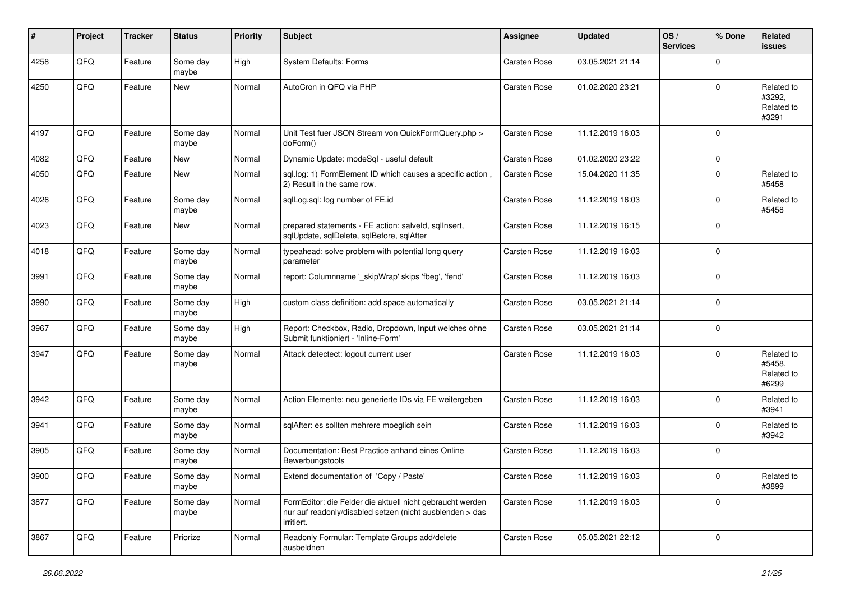| #    | Project | <b>Tracker</b> | <b>Status</b>     | <b>Priority</b> | <b>Subject</b>                                                                                                                      | <b>Assignee</b>     | <b>Updated</b>   | OS/<br><b>Services</b> | % Done      | Related<br><b>issues</b>                    |
|------|---------|----------------|-------------------|-----------------|-------------------------------------------------------------------------------------------------------------------------------------|---------------------|------------------|------------------------|-------------|---------------------------------------------|
| 4258 | QFQ     | Feature        | Some day<br>maybe | High            | <b>System Defaults: Forms</b>                                                                                                       | Carsten Rose        | 03.05.2021 21:14 |                        | $\Omega$    |                                             |
| 4250 | QFQ     | Feature        | New               | Normal          | AutoCron in QFQ via PHP                                                                                                             | Carsten Rose        | 01.02.2020 23:21 |                        | $\Omega$    | Related to<br>#3292.<br>Related to<br>#3291 |
| 4197 | QFQ     | Feature        | Some day<br>maybe | Normal          | Unit Test fuer JSON Stream von QuickFormQuery.php ><br>doForm()                                                                     | Carsten Rose        | 11.12.2019 16:03 |                        | $\Omega$    |                                             |
| 4082 | QFQ     | Feature        | New               | Normal          | Dynamic Update: modeSql - useful default                                                                                            | Carsten Rose        | 01.02.2020 23:22 |                        | $\mathbf 0$ |                                             |
| 4050 | QFQ     | Feature        | New               | Normal          | sql.log: 1) FormElement ID which causes a specific action,<br>2) Result in the same row.                                            | Carsten Rose        | 15.04.2020 11:35 |                        | 0           | Related to<br>#5458                         |
| 4026 | QFQ     | Feature        | Some day<br>maybe | Normal          | sqlLog.sql: log number of FE.id                                                                                                     | Carsten Rose        | 11.12.2019 16:03 |                        | $\Omega$    | Related to<br>#5458                         |
| 4023 | QFQ     | Feature        | New               | Normal          | prepared statements - FE action: salveld, sqllnsert,<br>sqlUpdate, sqlDelete, sqlBefore, sqlAfter                                   | Carsten Rose        | 11.12.2019 16:15 |                        | $\Omega$    |                                             |
| 4018 | QFQ     | Feature        | Some day<br>maybe | Normal          | typeahead: solve problem with potential long query<br>parameter                                                                     | Carsten Rose        | 11.12.2019 16:03 |                        | $\Omega$    |                                             |
| 3991 | QFQ     | Feature        | Some day<br>maybe | Normal          | report: Columnname '_skipWrap' skips 'fbeg', 'fend'                                                                                 | Carsten Rose        | 11.12.2019 16:03 |                        | $\mathbf 0$ |                                             |
| 3990 | QFQ     | Feature        | Some day<br>maybe | High            | custom class definition: add space automatically                                                                                    | Carsten Rose        | 03.05.2021 21:14 |                        | $\mathbf 0$ |                                             |
| 3967 | QFQ     | Feature        | Some day<br>maybe | High            | Report: Checkbox, Radio, Dropdown, Input welches ohne<br>Submit funktioniert - 'Inline-Form'                                        | Carsten Rose        | 03.05.2021 21:14 |                        | $\Omega$    |                                             |
| 3947 | QFQ     | Feature        | Some day<br>maybe | Normal          | Attack detectect: logout current user                                                                                               | Carsten Rose        | 11.12.2019 16:03 |                        | $\Omega$    | Related to<br>#5458,<br>Related to<br>#6299 |
| 3942 | QFQ     | Feature        | Some day<br>maybe | Normal          | Action Elemente: neu generierte IDs via FE weitergeben                                                                              | <b>Carsten Rose</b> | 11.12.2019 16:03 |                        | $\Omega$    | Related to<br>#3941                         |
| 3941 | QFQ     | Feature        | Some day<br>maybe | Normal          | sqlAfter: es sollten mehrere moeglich sein                                                                                          | Carsten Rose        | 11.12.2019 16:03 |                        | $\mathbf 0$ | Related to<br>#3942                         |
| 3905 | QFQ     | Feature        | Some day<br>maybe | Normal          | Documentation: Best Practice anhand eines Online<br>Bewerbungstools                                                                 | Carsten Rose        | 11.12.2019 16:03 |                        | $\Omega$    |                                             |
| 3900 | QFQ     | Feature        | Some day<br>maybe | Normal          | Extend documentation of 'Copy / Paste'                                                                                              | Carsten Rose        | 11.12.2019 16:03 |                        | $\pmb{0}$   | Related to<br>#3899                         |
| 3877 | QFQ     | Feature        | Some day<br>maybe | Normal          | FormEditor: die Felder die aktuell nicht gebraucht werden<br>nur auf readonly/disabled setzen (nicht ausblenden > das<br>irritiert. | Carsten Rose        | 11.12.2019 16:03 |                        | $\mathbf 0$ |                                             |
| 3867 | QFQ     | Feature        | Priorize          | Normal          | Readonly Formular: Template Groups add/delete<br>ausbeldnen                                                                         | Carsten Rose        | 05.05.2021 22:12 |                        | $\Omega$    |                                             |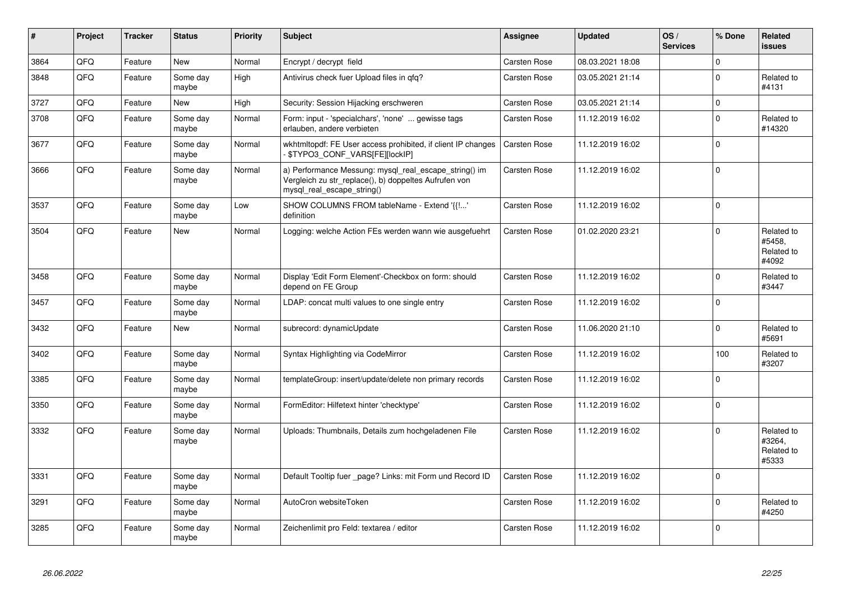| $\vert$ # | Project | <b>Tracker</b> | <b>Status</b>     | <b>Priority</b> | <b>Subject</b>                                                                                                                               | Assignee     | <b>Updated</b>   | OS/<br><b>Services</b> | % Done      | Related<br><b>issues</b>                    |
|-----------|---------|----------------|-------------------|-----------------|----------------------------------------------------------------------------------------------------------------------------------------------|--------------|------------------|------------------------|-------------|---------------------------------------------|
| 3864      | QFQ     | Feature        | <b>New</b>        | Normal          | Encrypt / decrypt field                                                                                                                      | Carsten Rose | 08.03.2021 18:08 |                        | $\mathbf 0$ |                                             |
| 3848      | QFQ     | Feature        | Some day<br>maybe | High            | Antivirus check fuer Upload files in qfq?                                                                                                    | Carsten Rose | 03.05.2021 21:14 |                        | $\Omega$    | Related to<br>#4131                         |
| 3727      | QFQ     | Feature        | <b>New</b>        | High            | Security: Session Hijacking erschweren                                                                                                       | Carsten Rose | 03.05.2021 21:14 |                        | $\pmb{0}$   |                                             |
| 3708      | QFQ     | Feature        | Some day<br>maybe | Normal          | Form: input - 'specialchars', 'none'  gewisse tags<br>erlauben, andere verbieten                                                             | Carsten Rose | 11.12.2019 16:02 |                        | $\Omega$    | Related to<br>#14320                        |
| 3677      | QFQ     | Feature        | Some day<br>maybe | Normal          | wkhtmltopdf: FE User access prohibited, if client IP changes<br>\$TYPO3_CONF_VARS[FE][lockIP]                                                | Carsten Rose | 11.12.2019 16:02 |                        | $\Omega$    |                                             |
| 3666      | QFQ     | Feature        | Some day<br>maybe | Normal          | a) Performance Messung: mysql_real_escape_string() im<br>Vergleich zu str replace(), b) doppeltes Aufrufen von<br>mysql real escape string() | Carsten Rose | 11.12.2019 16:02 |                        | $\Omega$    |                                             |
| 3537      | QFQ     | Feature        | Some day<br>maybe | Low             | SHOW COLUMNS FROM tableName - Extend '{{!'<br>definition                                                                                     | Carsten Rose | 11.12.2019 16:02 |                        | $\mathbf 0$ |                                             |
| 3504      | QFQ     | Feature        | <b>New</b>        | Normal          | Logging: welche Action FEs werden wann wie ausgefuehrt                                                                                       | Carsten Rose | 01.02.2020 23:21 |                        | $\mathbf 0$ | Related to<br>#5458,<br>Related to<br>#4092 |
| 3458      | QFQ     | Feature        | Some day<br>maybe | Normal          | Display 'Edit Form Element'-Checkbox on form: should<br>depend on FE Group                                                                   | Carsten Rose | 11.12.2019 16:02 |                        | $\Omega$    | Related to<br>#3447                         |
| 3457      | QFQ     | Feature        | Some day<br>maybe | Normal          | LDAP: concat multi values to one single entry                                                                                                | Carsten Rose | 11.12.2019 16:02 |                        | $\Omega$    |                                             |
| 3432      | QFQ     | Feature        | New               | Normal          | subrecord: dynamicUpdate                                                                                                                     | Carsten Rose | 11.06.2020 21:10 |                        | $\Omega$    | Related to<br>#5691                         |
| 3402      | QFQ     | Feature        | Some day<br>maybe | Normal          | Syntax Highlighting via CodeMirror                                                                                                           | Carsten Rose | 11.12.2019 16:02 |                        | 100         | Related to<br>#3207                         |
| 3385      | QFQ     | Feature        | Some day<br>maybe | Normal          | templateGroup: insert/update/delete non primary records                                                                                      | Carsten Rose | 11.12.2019 16:02 |                        | $\Omega$    |                                             |
| 3350      | QFQ     | Feature        | Some day<br>maybe | Normal          | FormEditor: Hilfetext hinter 'checktype'                                                                                                     | Carsten Rose | 11.12.2019 16:02 |                        | $\mathbf 0$ |                                             |
| 3332      | QFQ     | Feature        | Some day<br>maybe | Normal          | Uploads: Thumbnails, Details zum hochgeladenen File                                                                                          | Carsten Rose | 11.12.2019 16:02 |                        | $\mathbf 0$ | Related to<br>#3264,<br>Related to<br>#5333 |
| 3331      | QFQ     | Feature        | Some day<br>maybe | Normal          | Default Tooltip fuer page? Links: mit Form und Record ID                                                                                     | Carsten Rose | 11.12.2019 16:02 |                        | $\Omega$    |                                             |
| 3291      | QFQ     | Feature        | Some day<br>maybe | Normal          | AutoCron websiteToken                                                                                                                        | Carsten Rose | 11.12.2019 16:02 |                        | $\Omega$    | Related to<br>#4250                         |
| 3285      | QFQ     | Feature        | Some day<br>maybe | Normal          | Zeichenlimit pro Feld: textarea / editor                                                                                                     | Carsten Rose | 11.12.2019 16:02 |                        | $\Omega$    |                                             |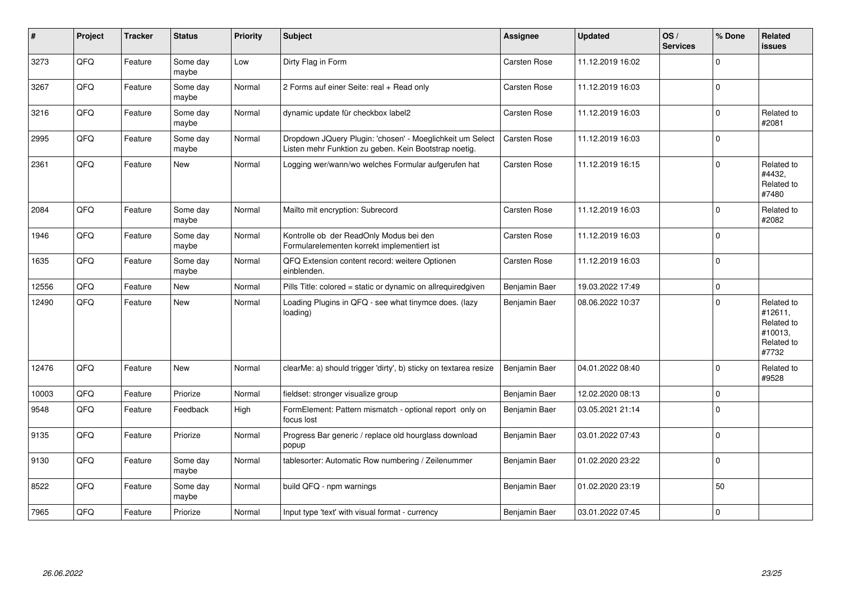| #     | Project | <b>Tracker</b> | <b>Status</b>     | <b>Priority</b> | <b>Subject</b>                                                                                                     | <b>Assignee</b>     | <b>Updated</b>   | OS/<br><b>Services</b> | % Done      | Related<br><b>issues</b>                                              |
|-------|---------|----------------|-------------------|-----------------|--------------------------------------------------------------------------------------------------------------------|---------------------|------------------|------------------------|-------------|-----------------------------------------------------------------------|
| 3273  | QFQ     | Feature        | Some day<br>maybe | Low             | Dirty Flag in Form                                                                                                 | Carsten Rose        | 11.12.2019 16:02 |                        | $\Omega$    |                                                                       |
| 3267  | QFQ     | Feature        | Some day<br>maybe | Normal          | 2 Forms auf einer Seite: real + Read only                                                                          | Carsten Rose        | 11.12.2019 16:03 |                        | $\Omega$    |                                                                       |
| 3216  | QFQ     | Feature        | Some day<br>maybe | Normal          | dynamic update für checkbox label2                                                                                 | Carsten Rose        | 11.12.2019 16:03 |                        | $\mathbf 0$ | Related to<br>#2081                                                   |
| 2995  | QFQ     | Feature        | Some day<br>maybe | Normal          | Dropdown JQuery Plugin: 'chosen' - Moeglichkeit um Select<br>Listen mehr Funktion zu geben. Kein Bootstrap noetig. | Carsten Rose        | 11.12.2019 16:03 |                        | $\mathbf 0$ |                                                                       |
| 2361  | QFQ     | Feature        | New               | Normal          | Logging wer/wann/wo welches Formular aufgerufen hat                                                                | Carsten Rose        | 11.12.2019 16:15 |                        | $\mathbf 0$ | Related to<br>#4432,<br>Related to<br>#7480                           |
| 2084  | QFQ     | Feature        | Some day<br>maybe | Normal          | Mailto mit encryption: Subrecord                                                                                   | Carsten Rose        | 11.12.2019 16:03 |                        | $\mathbf 0$ | Related to<br>#2082                                                   |
| 1946  | QFQ     | Feature        | Some day<br>maybe | Normal          | Kontrolle ob der ReadOnly Modus bei den<br>Formularelementen korrekt implementiert ist                             | Carsten Rose        | 11.12.2019 16:03 |                        | $\Omega$    |                                                                       |
| 1635  | QFQ     | Feature        | Some day<br>maybe | Normal          | QFQ Extension content record: weitere Optionen<br>einblenden.                                                      | <b>Carsten Rose</b> | 11.12.2019 16:03 |                        | $\mathbf 0$ |                                                                       |
| 12556 | QFQ     | Feature        | <b>New</b>        | Normal          | Pills Title: colored = static or dynamic on allrequiredgiven                                                       | Benjamin Baer       | 19.03.2022 17:49 |                        | $\mathbf 0$ |                                                                       |
| 12490 | QFQ     | Feature        | New               | Normal          | Loading Plugins in QFQ - see what tinymce does. (lazy<br>loading)                                                  | Benjamin Baer       | 08.06.2022 10:37 |                        | $\mathbf 0$ | Related to<br>#12611,<br>Related to<br>#10013,<br>Related to<br>#7732 |
| 12476 | QFQ     | Feature        | New               | Normal          | clearMe: a) should trigger 'dirty', b) sticky on textarea resize                                                   | Benjamin Baer       | 04.01.2022 08:40 |                        | $\mathbf 0$ | Related to<br>#9528                                                   |
| 10003 | QFQ     | Feature        | Priorize          | Normal          | fieldset: stronger visualize group                                                                                 | Benjamin Baer       | 12.02.2020 08:13 |                        | $\mathbf 0$ |                                                                       |
| 9548  | QFQ     | Feature        | Feedback          | High            | FormElement: Pattern mismatch - optional report only on<br>focus lost                                              | Benjamin Baer       | 03.05.2021 21:14 |                        | $\mathbf 0$ |                                                                       |
| 9135  | QFQ     | Feature        | Priorize          | Normal          | Progress Bar generic / replace old hourglass download<br>popup                                                     | Benjamin Baer       | 03.01.2022 07:43 |                        | $\mathbf 0$ |                                                                       |
| 9130  | QFQ     | Feature        | Some day<br>maybe | Normal          | tablesorter: Automatic Row numbering / Zeilenummer                                                                 | Benjamin Baer       | 01.02.2020 23:22 |                        | $\mathbf 0$ |                                                                       |
| 8522  | QFQ     | Feature        | Some day<br>maybe | Normal          | build QFQ - npm warnings                                                                                           | Benjamin Baer       | 01.02.2020 23:19 |                        | 50          |                                                                       |
| 7965  | QFQ     | Feature        | Priorize          | Normal          | Input type 'text' with visual format - currency                                                                    | Benjamin Baer       | 03.01.2022 07:45 |                        | $\mathbf 0$ |                                                                       |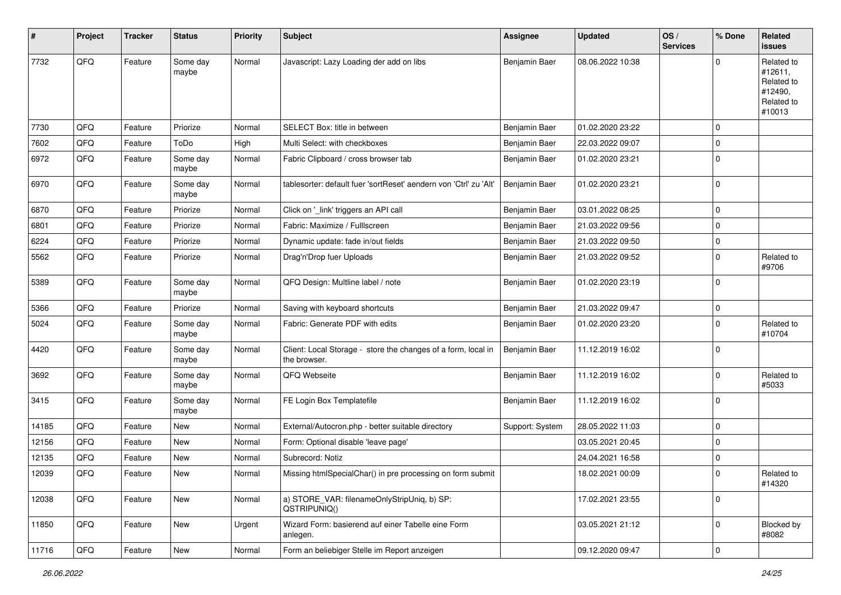| $\sharp$ | Project | <b>Tracker</b> | <b>Status</b>     | <b>Priority</b> | <b>Subject</b>                                                                | <b>Assignee</b> | <b>Updated</b>   | OS/<br><b>Services</b> | % Done      | Related<br><b>issues</b>                                               |
|----------|---------|----------------|-------------------|-----------------|-------------------------------------------------------------------------------|-----------------|------------------|------------------------|-------------|------------------------------------------------------------------------|
| 7732     | QFQ     | Feature        | Some day<br>maybe | Normal          | Javascript: Lazy Loading der add on libs                                      | Benjamin Baer   | 08.06.2022 10:38 |                        | $\mathbf 0$ | Related to<br>#12611,<br>Related to<br>#12490,<br>Related to<br>#10013 |
| 7730     | QFQ     | Feature        | Priorize          | Normal          | SELECT Box: title in between                                                  | Benjamin Baer   | 01.02.2020 23:22 |                        | $\mathbf 0$ |                                                                        |
| 7602     | QFQ     | Feature        | ToDo              | High            | Multi Select: with checkboxes                                                 | Benjamin Baer   | 22.03.2022 09:07 |                        | $\mathbf 0$ |                                                                        |
| 6972     | QFQ     | Feature        | Some day<br>maybe | Normal          | Fabric Clipboard / cross browser tab                                          | Benjamin Baer   | 01.02.2020 23:21 |                        | $\mathbf 0$ |                                                                        |
| 6970     | QFQ     | Feature        | Some day<br>maybe | Normal          | tablesorter: default fuer 'sortReset' aendern von 'Ctrl' zu 'Alt'             | Benjamin Baer   | 01.02.2020 23:21 |                        | $\mathbf 0$ |                                                                        |
| 6870     | QFQ     | Feature        | Priorize          | Normal          | Click on '_link' triggers an API call                                         | Benjamin Baer   | 03.01.2022 08:25 |                        | $\mathbf 0$ |                                                                        |
| 6801     | QFQ     | Feature        | Priorize          | Normal          | Fabric: Maximize / FullIscreen                                                | Benjamin Baer   | 21.03.2022 09:56 |                        | $\mathbf 0$ |                                                                        |
| 6224     | QFQ     | Feature        | Priorize          | Normal          | Dynamic update: fade in/out fields                                            | Benjamin Baer   | 21.03.2022 09:50 |                        | $\mathbf 0$ |                                                                        |
| 5562     | QFQ     | Feature        | Priorize          | Normal          | Drag'n'Drop fuer Uploads                                                      | Benjamin Baer   | 21.03.2022 09:52 |                        | 0           | Related to<br>#9706                                                    |
| 5389     | QFQ     | Feature        | Some day<br>maybe | Normal          | QFQ Design: Multline label / note                                             | Benjamin Baer   | 01.02.2020 23:19 |                        | $\mathbf 0$ |                                                                        |
| 5366     | QFQ     | Feature        | Priorize          | Normal          | Saving with keyboard shortcuts                                                | Benjamin Baer   | 21.03.2022 09:47 |                        | $\mathbf 0$ |                                                                        |
| 5024     | QFQ     | Feature        | Some day<br>maybe | Normal          | Fabric: Generate PDF with edits                                               | Benjamin Baer   | 01.02.2020 23:20 |                        | $\mathbf 0$ | Related to<br>#10704                                                   |
| 4420     | QFQ     | Feature        | Some day<br>maybe | Normal          | Client: Local Storage - store the changes of a form, local in<br>the browser. | Benjamin Baer   | 11.12.2019 16:02 |                        | $\mathbf 0$ |                                                                        |
| 3692     | QFQ     | Feature        | Some day<br>maybe | Normal          | QFQ Webseite                                                                  | Benjamin Baer   | 11.12.2019 16:02 |                        | $\mathbf 0$ | Related to<br>#5033                                                    |
| 3415     | QFQ     | Feature        | Some day<br>maybe | Normal          | FE Login Box Templatefile                                                     | Benjamin Baer   | 11.12.2019 16:02 |                        | $\mathbf 0$ |                                                                        |
| 14185    | QFQ     | Feature        | New               | Normal          | External/Autocron.php - better suitable directory                             | Support: System | 28.05.2022 11:03 |                        | $\mathbf 0$ |                                                                        |
| 12156    | QFQ     | Feature        | New               | Normal          | Form: Optional disable 'leave page'                                           |                 | 03.05.2021 20:45 |                        | $\mathbf 0$ |                                                                        |
| 12135    | QFQ     | Feature        | New               | Normal          | Subrecord: Notiz                                                              |                 | 24.04.2021 16:58 |                        | 0           |                                                                        |
| 12039    | QFQ     | Feature        | New               | Normal          | Missing htmlSpecialChar() in pre processing on form submit                    |                 | 18.02.2021 00:09 |                        | $\mathsf 0$ | Related to<br>#14320                                                   |
| 12038    | QFQ     | Feature        | New               | Normal          | a) STORE_VAR: filenameOnlyStripUniq, b) SP:<br>QSTRIPUNIQ()                   |                 | 17.02.2021 23:55 |                        | $\mathsf 0$ |                                                                        |
| 11850    | QFQ     | Feature        | New               | Urgent          | Wizard Form: basierend auf einer Tabelle eine Form<br>anlegen.                |                 | 03.05.2021 21:12 |                        | $\mathbf 0$ | Blocked by<br>#8082                                                    |
| 11716    | QFQ     | Feature        | New               | Normal          | Form an beliebiger Stelle im Report anzeigen                                  |                 | 09.12.2020 09:47 |                        | $\mathsf 0$ |                                                                        |